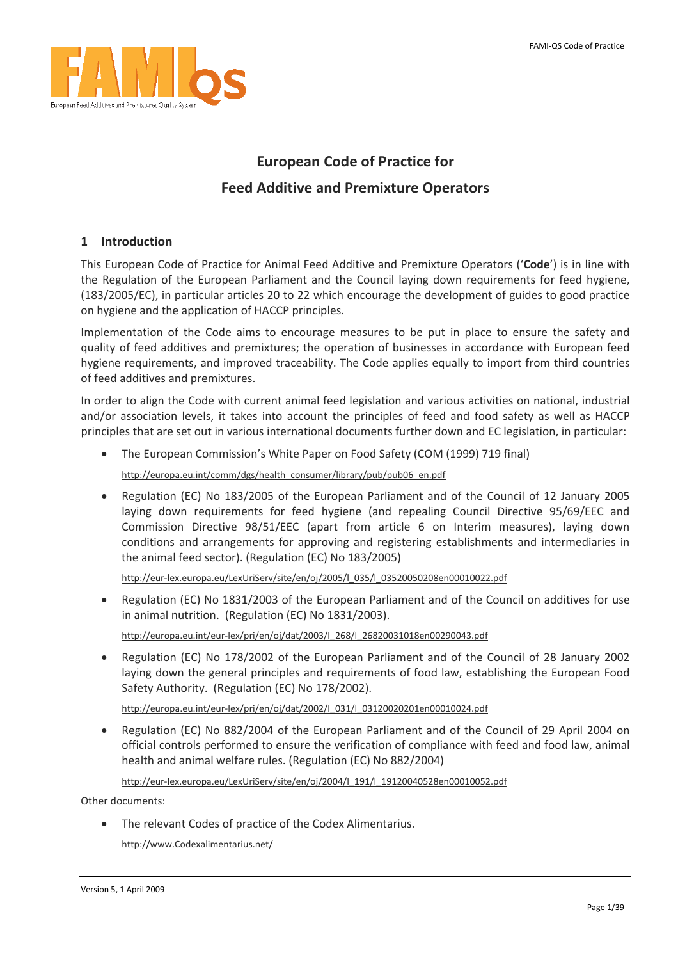<span id="page-0-0"></span>

# **European Code of Practice for**

# **Feed Additive and Premixture Operators**

## **1 Introduction**

This European Code of Practice for Animal Feed Additive and Premixture Operators ('**Code**') is in line with the Regulation of the European Parliament and the Council laying down requirements for feed hygiene, (183/2005/EC), in particular articles 20 to 22 which encourage the development of guides to good practice on hygiene and the application of HACCP principles.

Implementation of the Code aims to encourage measures to be put in place to ensure the safety and quality of feed additives and premixtures; the operation of businesses in accordance with European feed hygiene requirements, and improved traceability. The Code applies equally to import from third countries of feed additives and premixtures.

In order to align the Code with current animal feed legislation and various activities on national, industrial and/or association levels, it takes into account the principles of feed and food safety as well as HACCP principles that are set out in various international documents further down and EC legislation, in particular:

• The European Commission's White Paper on Food Safety (COM (1999) 719 final)

[http://europa.eu.int/comm/dgs/health\\_consumer/library/pub/pub06\\_en.pdf](http://europa.eu.int/comm/dgs/health_consumer/library/pub/pub06_en.pdf)

• Regulation (EC) No 183/2005 of the European Parliament and of the Council of 12 January 2005 laying down requirements for feed hygiene (and repealing Council Directive 95/69/EEC and Commission Directive 98/51/EEC (apart from article 6 on Interim measures), laying down conditions and arrangements for approving and registering establishments and intermediaries in the animal feed sector). (Regulation (EC) No 183/2005)

http://eur‐[lex.europa.eu/LexUriServ/site/en/oj/2005/l\\_035/l\\_03520050208en00010022.pdf](http://eur-lex.europa.eu/LexUriServ/site/en/oj/2005/l_035/l_03520050208en00010022.pdf)

• Regulation (EC) No 1831/2003 of the European Parliament and of the Council on additives for use in animal nutrition. (Regulation (EC) No 1831/2003).

http://europa.eu.int/eur‐[lex/pri/en/oj/dat/2003/l\\_268/l\\_26820031018en00290043.pdf](http://europa.eu.int/eur-lex/pri/en/oj/dat/2003/l_268/l_26820031018en00290043.pdf)

• Regulation (EC) No 178/2002 of the European Parliament and of the Council of 28 January 2002 laying down the general principles and requirements of food law, establishing the European Food Safety Authority. (Regulation (EC) No 178/2002).

http://europa.eu.int/eur‐[lex/pri/en/oj/dat/2002/l\\_031/l\\_03120020201en00010024.pdf](http://europa.eu.int/eur-lex/pri/en/oj/dat/2002/l_031/l_03120020201en00010024.pdf)

• Regulation (EC) No 882/2004 of the European Parliament and of the Council of 29 April 2004 on official controls performed to ensure the verification of compliance with feed and food law, animal health and animal welfare rules. (Regulation (EC) No 882/2004)

http://eur-[lex.europa.eu/LexUriServ/site/en/oj/2004/l\\_191/l\\_19120040528en00010052.pdf](http://eur-lex.europa.eu/LexUriServ/site/en/oj/2004/l_191/l_19120040528en00010052.pdf)

Other documents:

• The relevant Codes of practice of the Codex Alimentarius.

[http://www.Codexalimentarius.net/](http://www.codexalimentarius.net/)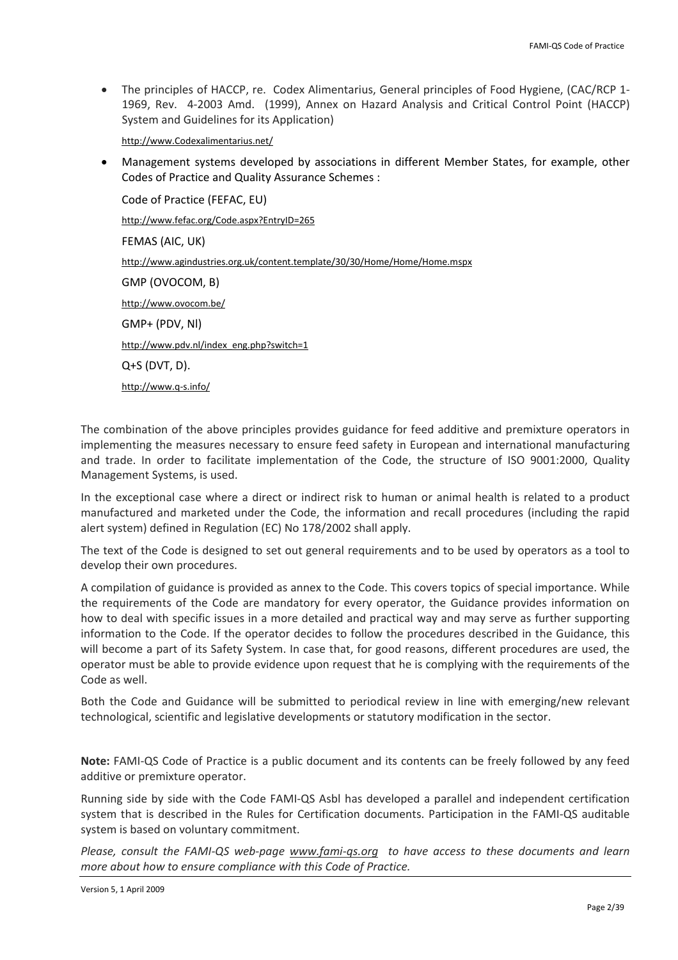• The principles of HACCP, re. Codex Alimentarius, General principles of Food Hygiene, (CAC/RCP 1‐ 1969, Rev. 4-2003 Amd. (1999), Annex on Hazard Analysis and Critical Control Point (HACCP) System and Guidelines for its Application)

[http://www.Codexalimentarius.net/](http://www.codexalimentarius.net/)

• Management systems developed by associations in different Member States, for example, other Codes of Practice and Quality Assurance Schemes :

Code of Practice (FEFAC, EU) [http://www.fefac.org/Code.aspx?EntryID=265](http://www.fefac.org/code.aspx?EntryID=265) FEMAS (AIC, UK) <http://www.agindustries.org.uk/content.template/30/30/Home/Home/Home.mspx> GMP (OVOCOM, B) <http://www.ovocom.be/> GMP+ (PDV, Nl) [http://www.pdv.nl/index\\_eng.php?switch=1](http://www.pdv.nl/index_eng.php?switch=1) Q+S (DVT, D). [http://www.q](http://www.q-s.info/)‐s.info/

The combination of the above principles provides guidance for feed additive and premixture operators in implementing the measures necessary to ensure feed safety in European and international manufacturing and trade. In order to facilitate implementation of the Code, the structure of ISO 9001:2000, Quality Management Systems, is used.

In the exceptional case where a direct or indirect risk to human or animal health is related to a product manufactured and marketed under the Code, the information and recall procedures (including the rapid alert system) defined in Regulation (EC) No 178/2002 shall apply.

The text of the Code is designed to set out general requirements and to be used by operators as a tool to develop their own procedures.

A compilation of guidance is provided as annex to the Code. This covers topics of special importance. While the requirements of the Code are mandatory for every operator, the Guidance provides information on how to deal with specific issues in a more detailed and practical way and may serve as further supporting information to the Code. If the operator decides to follow the procedures described in the Guidance, this will become a part of its Safety System. In case that, for good reasons, different procedures are used, the operator must be able to provide evidence upon request that he is complying with the requirements of the Code as well.

Both the Code and Guidance will be submitted to periodical review in line with emerging/new relevant technological, scientific and legislative developments or statutory modification in the sector.

**Note:** FAMI‐QS Code of Practice is a public document and its contents can be freely followed by any feed additive or premixture operator.

Running side by side with the Code FAMI‐QS Asbl has developed a parallel and independent certification system that is described in the Rules for Certification documents. Participation in the FAMI‐QS auditable system is based on voluntary commitment.

Please, consult the FAMI-QS web-page [www.fami](http://www.fami-qs.org/)-qs.org to have access to these documents and learn *more about how to ensure compliance with this Code of Practice.*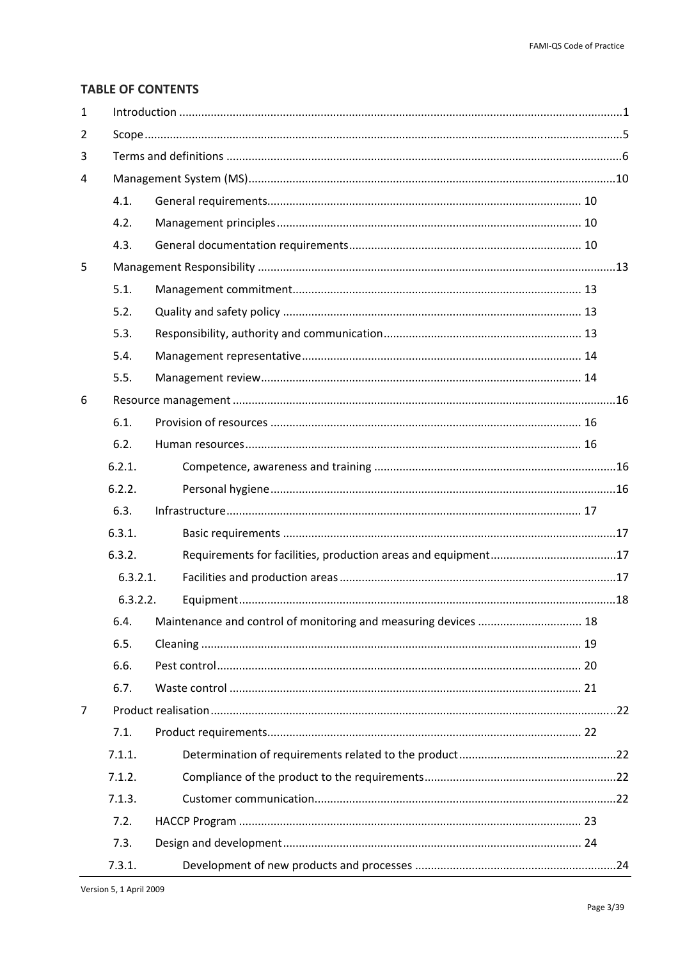## **TABLE OF CONTENTS**

| $\mathbf{1}$ |          |                                                                 |  |  |  |
|--------------|----------|-----------------------------------------------------------------|--|--|--|
| 2            |          |                                                                 |  |  |  |
| 3            |          |                                                                 |  |  |  |
| 4            |          |                                                                 |  |  |  |
|              | 4.1.     |                                                                 |  |  |  |
|              | 4.2.     |                                                                 |  |  |  |
|              | 4.3.     |                                                                 |  |  |  |
| 5            |          |                                                                 |  |  |  |
|              | 5.1.     |                                                                 |  |  |  |
|              | 5.2.     |                                                                 |  |  |  |
|              | 5.3.     |                                                                 |  |  |  |
|              | 5.4.     |                                                                 |  |  |  |
|              | 5.5.     |                                                                 |  |  |  |
| 6            |          |                                                                 |  |  |  |
|              | 6.1.     |                                                                 |  |  |  |
|              | 6.2.     |                                                                 |  |  |  |
|              | 6.2.1.   |                                                                 |  |  |  |
|              | 6.2.2.   |                                                                 |  |  |  |
|              | 6.3.     |                                                                 |  |  |  |
|              | 6.3.1.   |                                                                 |  |  |  |
|              | 6.3.2.   |                                                                 |  |  |  |
|              | 6.3.2.1. |                                                                 |  |  |  |
|              | 6.3.2.2. |                                                                 |  |  |  |
|              | 6.4.     | Maintenance and control of monitoring and measuring devices  18 |  |  |  |
|              | 6.5.     |                                                                 |  |  |  |
|              | 6.6.     |                                                                 |  |  |  |
|              | 6.7.     |                                                                 |  |  |  |
| 7            |          |                                                                 |  |  |  |
|              | 7.1.     |                                                                 |  |  |  |
|              | 7.1.1.   |                                                                 |  |  |  |
|              | 7.1.2.   |                                                                 |  |  |  |
|              | 7.1.3.   |                                                                 |  |  |  |
|              | 7.2.     |                                                                 |  |  |  |
|              | 7.3.     |                                                                 |  |  |  |
|              | 7.3.1.   |                                                                 |  |  |  |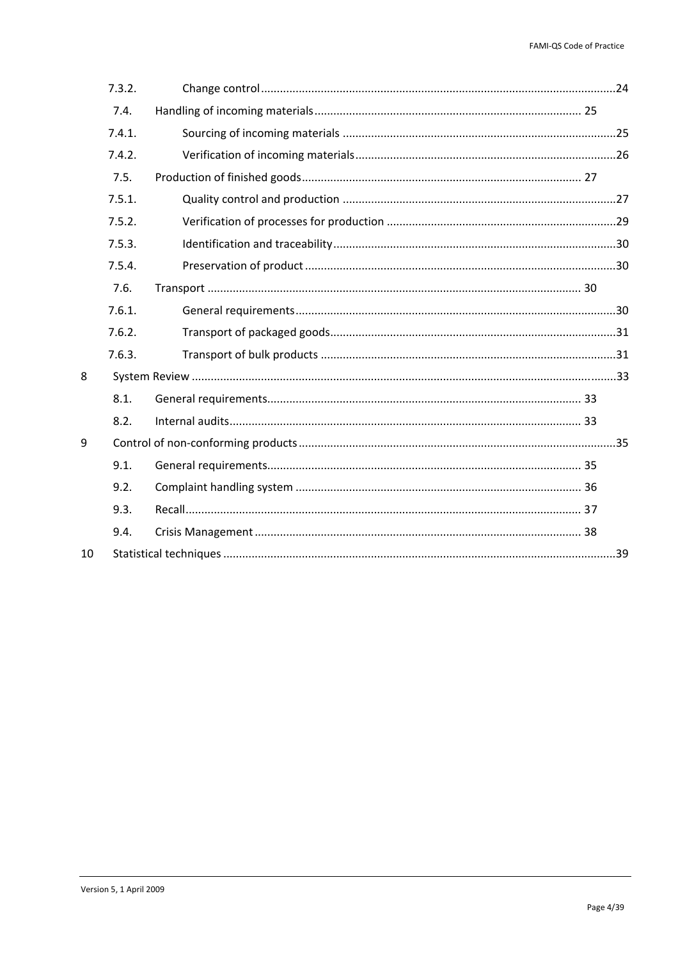|    | 7.3.2. |  |  |
|----|--------|--|--|
|    | 7.4.   |  |  |
|    | 7.4.1. |  |  |
|    | 7.4.2. |  |  |
|    | 7.5.   |  |  |
|    | 7.5.1. |  |  |
|    | 7.5.2. |  |  |
|    | 7.5.3. |  |  |
|    | 7.5.4. |  |  |
|    | 7.6.   |  |  |
|    | 7.6.1. |  |  |
|    | 7.6.2. |  |  |
|    | 7.6.3. |  |  |
| 8  |        |  |  |
|    | 8.1.   |  |  |
|    | 8.2.   |  |  |
| 9  |        |  |  |
|    | 9.1.   |  |  |
|    | 9.2.   |  |  |
|    | 9.3.   |  |  |
|    | 9.4.   |  |  |
| 10 |        |  |  |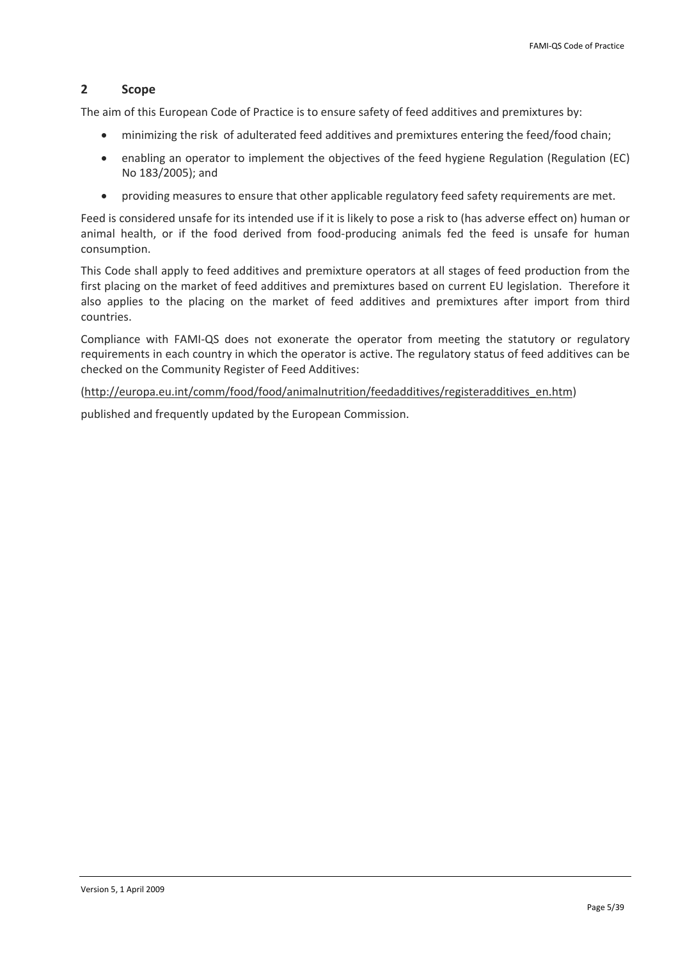## <span id="page-4-0"></span>**2 Scope**

The aim of this European Code of Practice is to ensure safety of feed additives and premixtures by:

- minimizing the risk of adulterated feed additives and premixtures entering the feed/food chain;
- enabling an operator to implement the objectives of the feed hygiene Regulation (Regulation (EC) No 183/2005); and
- providing measures to ensure that other applicable regulatory feed safety requirements are met.

Feed is considered unsafe for its intended use if it is likely to pose a risk to (has adverse effect on) human or animal health, or if the food derived from food‐producing animals fed the feed is unsafe for human consumption.

This Code shall apply to feed additives and premixture operators at all stages of feed production from the first placing on the market of feed additives and premixtures based on current EU legislation. Therefore it also applies to the placing on the market of feed additives and premixtures after import from third countries.

Compliance with FAMI‐QS does not exonerate the operator from meeting the statutory or regulatory requirements in each country in which the operator is active. The regulatory status of feed additives can be checked on the Community Register of Feed Additives:

[\(http://europa.eu.int/comm/food/food/animalnutrition/feedadditives/registeradditives\\_en.htm\)](http://europa.eu.int/comm/food/food/animalnutrition/feedadditives/registeradditives_en.htm)

published and frequently updated by the European Commission.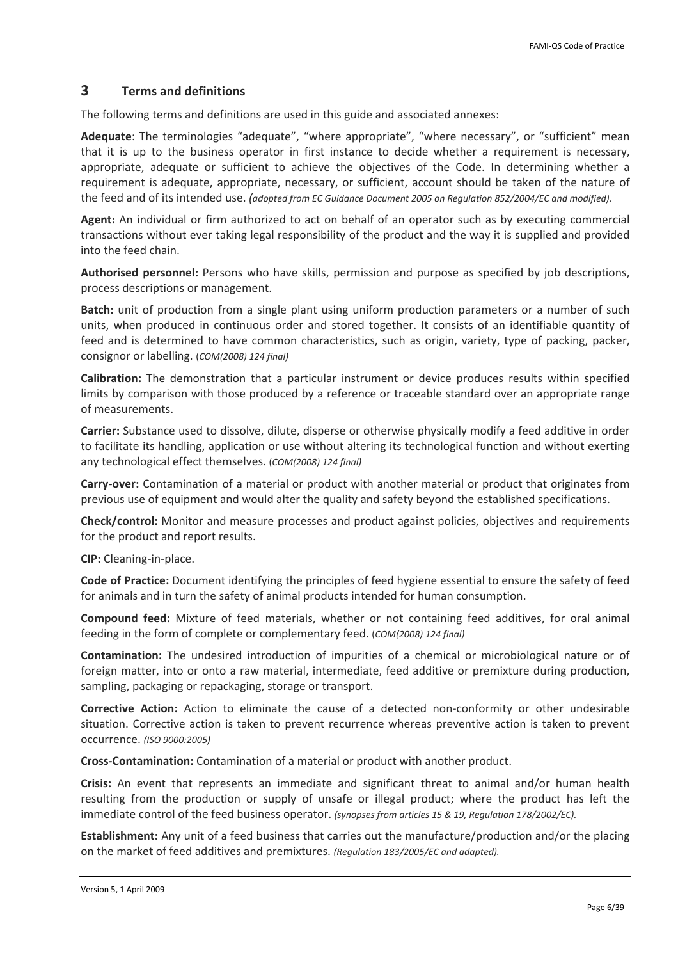## <span id="page-5-0"></span>**3 Terms and definitions**

The following terms and definitions are used in this guide and associated annexes:

Adequate: The terminologies "adequate", "where appropriate", "where necessary", or "sufficient" mean that it is up to the business operator in first instance to decide whether a requirement is necessary, appropriate, adequate or sufficient to achieve the objectives of the Code. In determining whether a requirement is adequate, appropriate, necessary, or sufficient, account should be taken of the nature of the feed and of its intended use. *(adopted from EC Guidance Document 2005 on Regulation 852/2004/EC and modified).*

**Agent:** An individual or firm authorized to act on behalf of an operator such as by executing commercial transactions without ever taking legal responsibility of the product and the way it is supplied and provided into the feed chain.

**Authorised personnel:** Persons who have skills, permission and purpose as specified by job descriptions, process descriptions or management.

**Batch:** unit of production from a single plant using uniform production parameters or a number of such units, when produced in continuous order and stored together. It consists of an identifiable quantity of feed and is determined to have common characteristics, such as origin, variety, type of packing, packer, consignor or labelling. (*COM(2008) 124 final)*

**Calibration:** The demonstration that a particular instrument or device produces results within specified limits by comparison with those produced by a reference or traceable standard over an appropriate range of measurements.

**Carrier:** Substance used to dissolve, dilute, disperse or otherwise physically modify a feed additive in order to facilitate its handling, application or use without altering its technological function and without exerting any technological effect themselves. (*COM(2008) 124 final)*

**Carry‐over:** Contamination of a material or product with another material or product that originates from previous use of equipment and would alter the quality and safety beyond the established specifications.

**Check/control:** Monitor and measure processes and product against policies, objectives and requirements for the product and report results.

**CIP:** Cleaning‐in‐place.

**Code of Practice:** Document identifying the principles of feed hygiene essential to ensure the safety of feed for animals and in turn the safety of animal products intended for human consumption.

**Compound feed:** Mixture of feed materials, whether or not containing feed additives, for oral animal feeding in the form of complete or complementary feed. (*COM(2008) 124 final)*

**Contamination:** The undesired introduction of impurities of a chemical or microbiological nature or of foreign matter, into or onto a raw material, intermediate, feed additive or premixture during production, sampling, packaging or repackaging, storage or transport.

**Corrective Action:** Action to eliminate the cause of a detected non‐conformity or other undesirable situation. Corrective action is taken to prevent recurrence whereas preventive action is taken to prevent occurrence. *(ISO 9000:2005)*

**Cross‐Contamination:** Contamination of a material or product with another product.

**Crisis:** An event that represents an immediate and significant threat to animal and/or human health resulting from the production or supply of unsafe or illegal product; where the product has left the immediate control of the feed business operator. *(synopses from articles 15 & 19, Regulation 178/2002/EC).*

**Establishment:** Any unit of a feed business that carries out the manufacture/production and/or the placing on the market of feed additives and premixtures. *(Regulation 183/2005/EC and adapted).*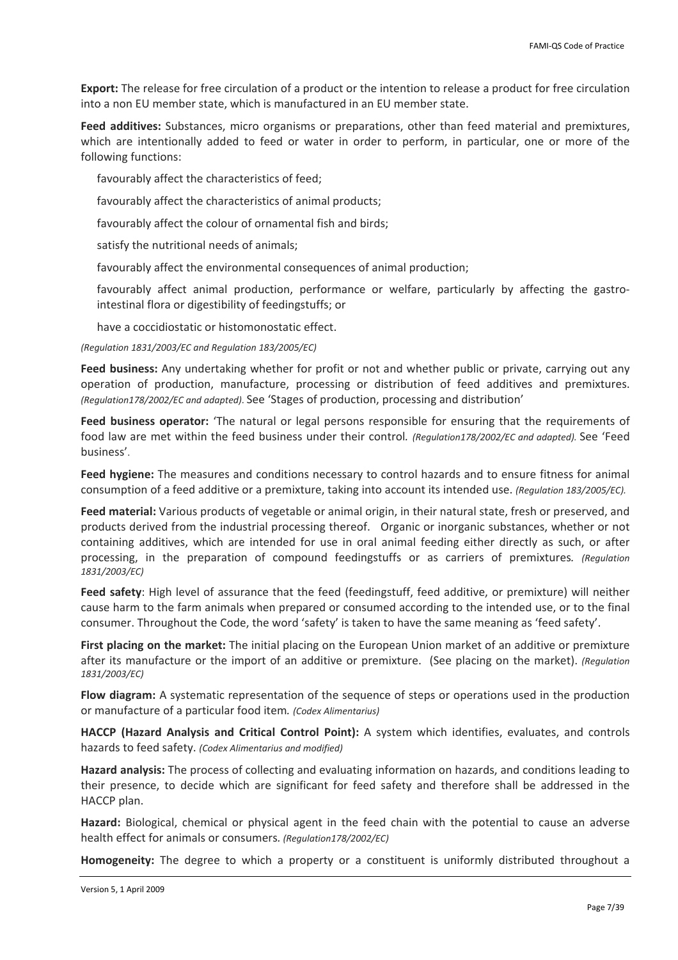**Export:** The release for free circulation of a product or the intention to release a product for free circulation into a non EU member state, which is manufactured in an EU member state.

**Feed additives:** Substances, micro organisms or preparations, other than feed material and premixtures, which are intentionally added to feed or water in order to perform, in particular, one or more of the following functions:

favourably affect the characteristics of feed;

favourably affect the characteristics of animal products;

favourably affect the colour of ornamental fish and birds;

satisfy the nutritional needs of animals;

favourably affect the environmental consequences of animal production;

favourably affect animal production, performance or welfare, particularly by affecting the gastrointestinal flora or digestibility of feedingstuffs; or

have a coccidiostatic or histomonostatic effect.

*(Regulation 1831/2003/EC and Regulation 183/2005/EC)*

**Feed business:** Any undertaking whether for profit or not and whether public or private, carrying out any operation of production, manufacture, processing or distribution of feed additives and premixtures. *(Regulation178/2002/EC and adapted)*. See 'Stages of production, processing and distribution'

**Feed business operator:** 'The natural or legal persons responsible for ensuring that the requirements of food law are met within the feed business under their control*. (Regulation178/2002/EC and adapted).* See 'Feed business'.

**Feed hygiene:** The measures and conditions necessary to control hazards and to ensure fitness for animal consumption of a feed additive or a premixture, taking into account its intended use. *(Regulation 183/2005/EC).*

**Feed material:** Various products of vegetable or animal origin, in their natural state, fresh or preserved, and products derived from the industrial processing thereof. Organic or inorganic substances, whether or not containing additives, which are intended for use in oral animal feeding either directly as such, or after processing, in the preparation of compound feedingstuffs or as carriers of premixtures*. (Regulation 1831/2003/EC)*

**Feed safety**: High level of assurance that the feed (feedingstuff, feed additive, or premixture) will neither cause harm to the farm animals when prepared or consumed according to the intended use, or to the final consumer. Throughout the Code, the word 'safety' is taken to have the same meaning as 'feed safety'.

**First placing on the market:** The initial placing on the European Union market of an additive or premixture after its manufacture or the import of an additive or premixture. (See placing on the market). *(Regulation 1831/2003/EC)*

**Flow diagram:** A systematic representation of the sequence of steps or operations used in the production or manufacture of a particular food item*. (Codex Alimentarius)*

**HACCP (Hazard Analysis and Critical Control Point):** A system which identifies, evaluates, and controls hazards to feed safety. *(Codex Alimentarius and modified)*

**Hazard analysis:** The process of collecting and evaluating information on hazards, and conditions leading to their presence, to decide which are significant for feed safety and therefore shall be addressed in the HACCP plan.

**Hazard:** Biological, chemical or physical agent in the feed chain with the potential to cause an adverse health effect for animals or consumers*. (Regulation178/2002/EC)*

**Homogeneity:** The degree to which a property or a constituent is uniformly distributed throughout a

Version 5, 1 April 2009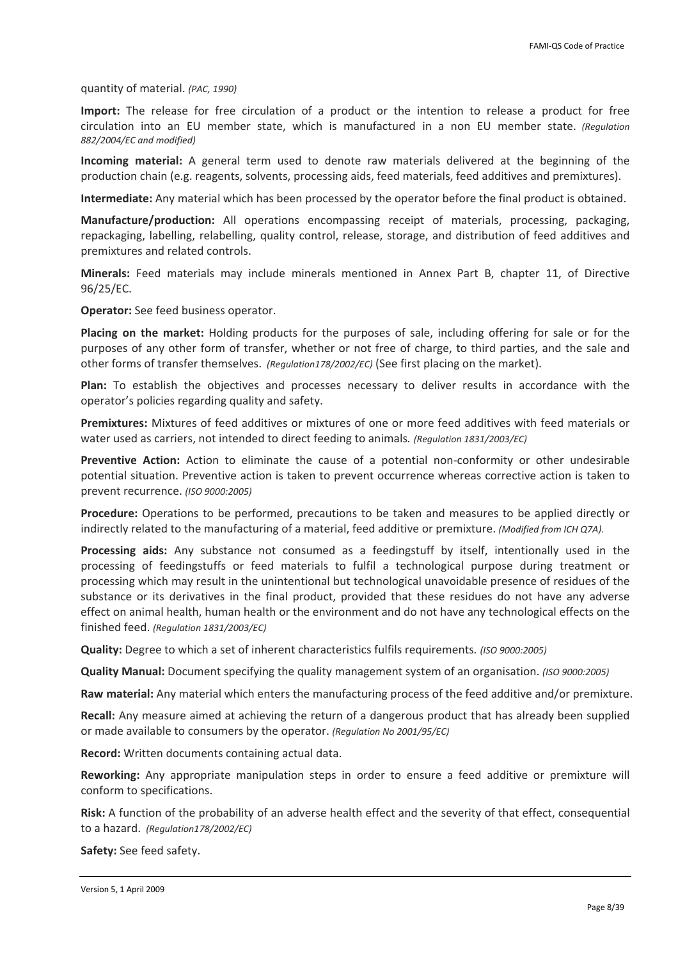quantity of material. *(PAC, 1990)*

**Import:** The release for free circulation of a product or the intention to release a product for free circulation into an EU member state, which is manufactured in a non EU member state. *(Regulation 882/2004/EC and modified)*

**Incoming material:** A general term used to denote raw materials delivered at the beginning of the production chain (e.g. reagents, solvents, processing aids, feed materials, feed additives and premixtures).

**Intermediate:** Any material which has been processed by the operator before the final product is obtained.

**Manufacture/production:** All operations encompassing receipt of materials, processing, packaging, repackaging, labelling, relabelling, quality control, release, storage, and distribution of feed additives and premixtures and related controls.

**Minerals:** Feed materials may include minerals mentioned in Annex Part B, chapter 11, of Directive 96/25/EC.

**Operator:** See feed business operator.

**Placing on the market:** Holding products for the purposes of sale, including offering for sale or for the purposes of any other form of transfer, whether or not free of charge, to third parties, and the sale and other forms of transfer themselves. *(Regulation178/2002/EC)* (See first placing on the market).

**Plan:** To establish the objectives and processes necessary to deliver results in accordance with the operator's policies regarding quality and safety.

**Premixtures:** Mixtures of feed additives or mixtures of one or more feed additives with feed materials or water used as carriers, not intended to direct feeding to animals*. (Regulation 1831/2003/EC)*

**Preventive Action:** Action to eliminate the cause of a potential non‐conformity or other undesirable potential situation. Preventive action is taken to prevent occurrence whereas corrective action is taken to prevent recurrence. *(ISO 9000:2005)*

**Procedure:** Operations to be performed, precautions to be taken and measures to be applied directly or indirectly related to the manufacturing of a material, feed additive or premixture. *(Modified from ICH Q7A).*

**Processing aids:** Any substance not consumed as a feedingstuff by itself, intentionally used in the processing of feedingstuffs or feed materials to fulfil a technological purpose during treatment or processing which may result in the unintentional but technological unavoidable presence of residues of the substance or its derivatives in the final product, provided that these residues do not have any adverse effect on animal health, human health or the environment and do not have any technological effects on the finished feed. *(Regulation 1831/2003/EC)*

**Quality:** Degree to which a set of inherent characteristics fulfils requirements*. (ISO 9000:2005)* 

**Quality Manual:** Document specifying the quality management system of an organisation. *(ISO 9000:2005)* 

**Raw material:** Any material which enters the manufacturing process of the feed additive and/or premixture.

**Recall:** Any measure aimed at achieving the return of a dangerous product that has already been supplied or made available to consumers by the operator. *(Regulation No 2001/95/EC)*

**Record:** Written documents containing actual data.

**Reworking:** Any appropriate manipulation steps in order to ensure a feed additive or premixture will conform to specifications.

**Risk:** A function of the probability of an adverse health effect and the severity of that effect, consequential to a hazard. *(Regulation178/2002/EC)*

**Safety:** See feed safety.

Version 5, 1 April 2009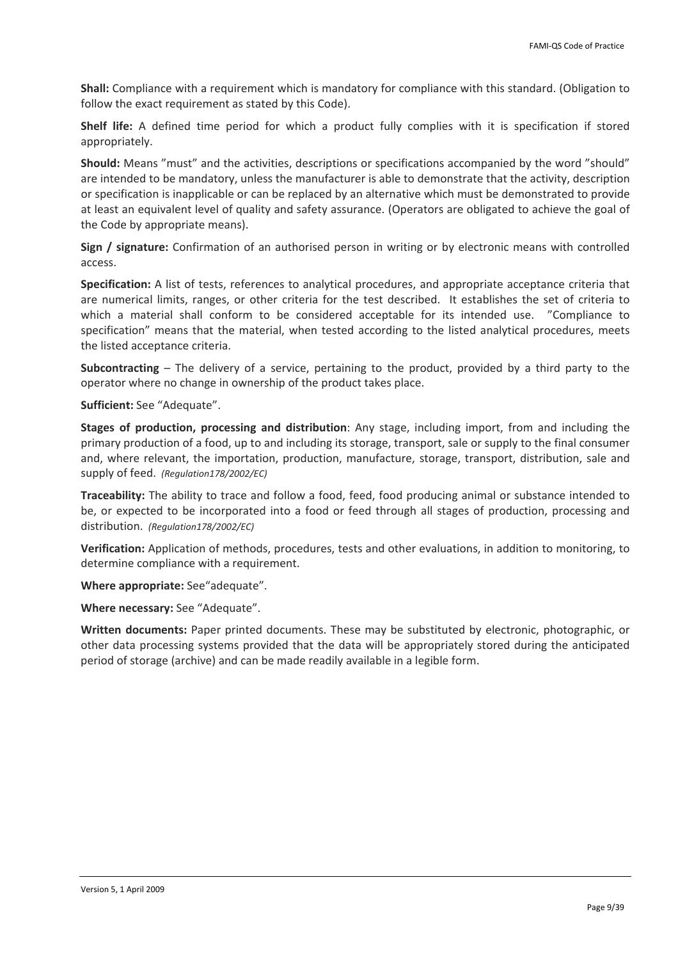**Shall:** Compliance with a requirement which is mandatory for compliance with this standard. (Obligation to follow the exact requirement as stated by this Code).

**Shelf life:** A defined time period for which a product fully complies with it is specification if stored appropriately.

**Should:** Means "must" and the activities, descriptions or specifications accompanied by the word "should" are intended to be mandatory, unless the manufacturer is able to demonstrate that the activity, description or specification is inapplicable or can be replaced by an alternative which must be demonstrated to provide at least an equivalent level of quality and safety assurance. (Operators are obligated to achieve the goal of the Code by appropriate means).

**Sign / signature:** Confirmation of an authorised person in writing or by electronic means with controlled access.

**Specification:** A list of tests, references to analytical procedures, and appropriate acceptance criteria that are numerical limits, ranges, or other criteria for the test described. It establishes the set of criteria to which a material shall conform to be considered acceptable for its intended use. "Compliance to specification" means that the material, when tested according to the listed analytical procedures, meets the listed acceptance criteria.

**Subcontracting** – The delivery of a service, pertaining to the product, provided by a third party to the operator where no change in ownership of the product takes place.

**Sufficient:** See "Adequate".

**Stages of production, processing and distribution**: Any stage, including import, from and including the primary production of a food, up to and including its storage, transport, sale or supply to the final consumer and, where relevant, the importation, production, manufacture, storage, transport, distribution, sale and supply of feed. *(Regulation178/2002/EC)*

**Traceability:** The ability to trace and follow a food, feed, food producing animal or substance intended to be, or expected to be incorporated into a food or feed through all stages of production, processing and distribution. *(Regulation178/2002/EC)*

**Verification:** Application of methods, procedures, tests and other evaluations, in addition to monitoring, to determine compliance with a requirement.

**Where appropriate:** See"adequate".

**Where necessary:** See "Adequate".

**Written documents:** Paper printed documents. These may be substituted by electronic, photographic, or other data processing systems provided that the data will be appropriately stored during the anticipated period of storage (archive) and can be made readily available in a legible form.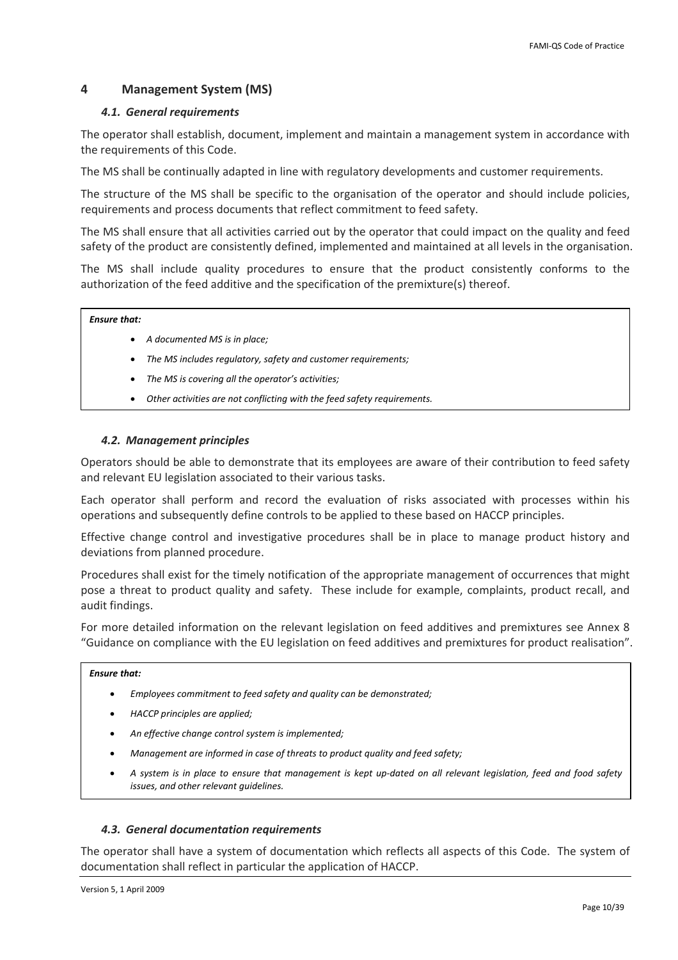## <span id="page-9-0"></span>**4 Management System (MS)**

## *4.1. General requirements*

The operator shall establish, document, implement and maintain a management system in accordance with the requirements of this Code.

The MS shall be continually adapted in line with regulatory developments and customer requirements.

The structure of the MS shall be specific to the organisation of the operator and should include policies, requirements and process documents that reflect commitment to feed safety.

The MS shall ensure that all activities carried out by the operator that could impact on the quality and feed safety of the product are consistently defined, implemented and maintained at all levels in the organisation.

The MS shall include quality procedures to ensure that the product consistently conforms to the authorization of the feed additive and the specification of the premixture(s) thereof.

### *Ensure that:*

- *A documented MS is in place;*
- *The MS includes regulatory, safety and customer requirements;*
- *The MS is covering all the operator's activities;*
- *Other activities are not conflicting with the feed safety requirements.*

## *4.2. Management principles*

<span id="page-9-1"></span>Operators should be able to demonstrate that its employees are aware of their contribution to feed safety and relevant EU legislation associated to their various tasks.

Each operator shall perform and record the evaluation of risks associated with processes within his operations and subsequently define controls to be applied to these based on HACCP principles.

Effective change control and investigative procedures shall be in place to manage product history and deviations from planned procedure.

Procedures shall exist for the timely notification of the appropriate management of occurrences that might pose a threat to product quality and safety. These include for example, complaints, product recall, and audit findings.

For more detailed information on the relevant legislation on feed additives and premixtures see Annex 8 "Guidance on compliance with the EU legislation on feed additives and premixtures for product realisation".

### *Ensure that:*

- *Employees commitment to feed safety and quality can be demonstrated;*
- *HACCP principles are applied;*
- *An effective change control system is implemented;*
- *Management are informed in case of threats to product quality and feed safety;*
- A system is in place to ensure that management is kept up-dated on all relevant legislation, feed and food safety *issues, and other relevant guidelines.*

### *4.3. General documentation requirements*

The operator shall have a system of documentation which reflects all aspects of this Code. The system of documentation shall reflect in particular the application of HACCP.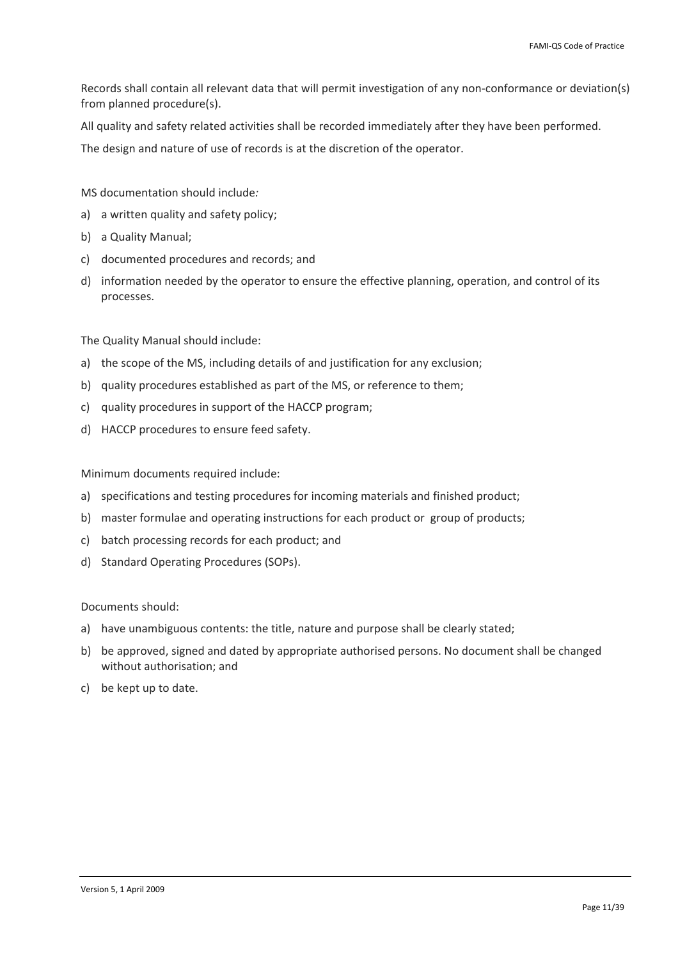Records shall contain all relevant data that will permit investigation of any non‐conformance or deviation(s) from planned procedure(s).

All quality and safety related activities shall be recorded immediately after they have been performed.

The design and nature of use of records is at the discretion of the operator.

MS documentation should include*:*

- a) a written quality and safety policy;
- b) a Quality Manual;
- c) documented procedures and records; and
- d) information needed by the operator to ensure the effective planning, operation, and control of its processes.

The Quality Manual should include:

- a) the scope of the MS, including details of and justification for any exclusion;
- b) quality procedures established as part of the MS, or reference to them;
- c) quality procedures in support of the HACCP program;
- d) HACCP procedures to ensure feed safety.

Minimum documents required include:

- a) specifications and testing procedures for incoming materials and finished product;
- b) master formulae and operating instructions for each product or group of products;
- c) batch processing records for each product; and
- d) Standard Operating Procedures (SOPs).

Documents should:

- a) have unambiguous contents: the title, nature and purpose shall be clearly stated;
- b) be approved, signed and dated by appropriate authorised persons. No document shall be changed without authorisation; and
- c) be kept up to date.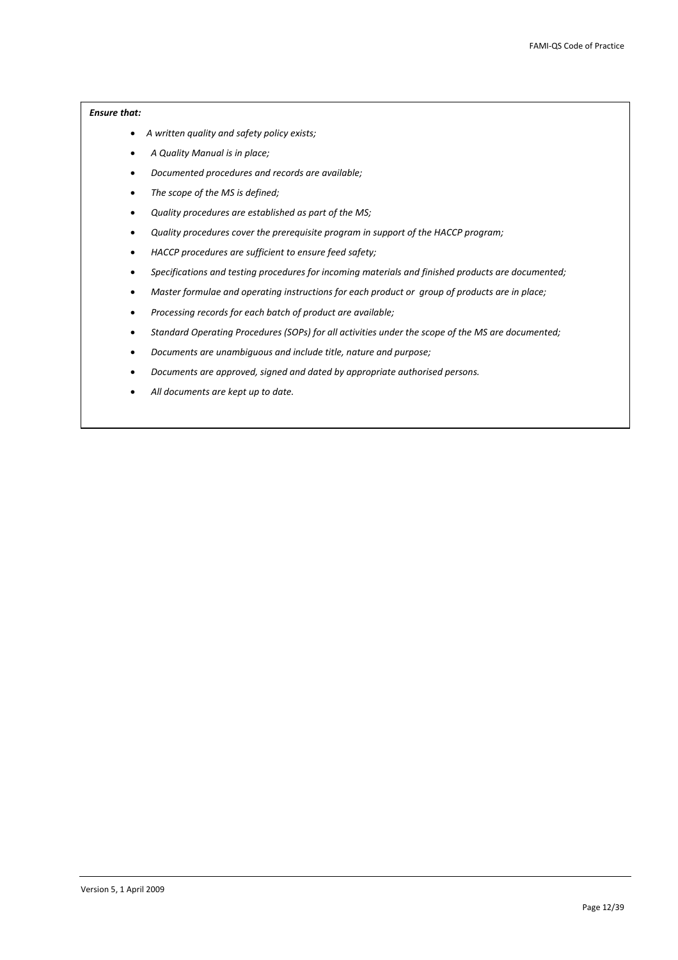- *A written quality and safety policy exists;*
- *A Quality Manual is in place;*
- *Documented procedures and records are available;*
- *The scope of the MS is defined;*
- *Quality procedures are established as part of the MS;*
- *Quality procedures cover the prerequisite program in support of the HACCP program;*
- *HACCP procedures are sufficient to ensure feed safety;*
- *Specifications and testing procedures for incoming materials and finished products are documented;*
- *Master formulae and operating instructions for each product or group of products are in place;*
- *Processing records for each batch of product are available;*
- *Standard Operating Procedures (SOPs) for all activities under the scope of the MS are documented;*
- *Documents are unambiguous and include title, nature and purpose;*
- *Documents are approved, signed and dated by appropriate authorised persons.*
- *All documents are kept up to date.*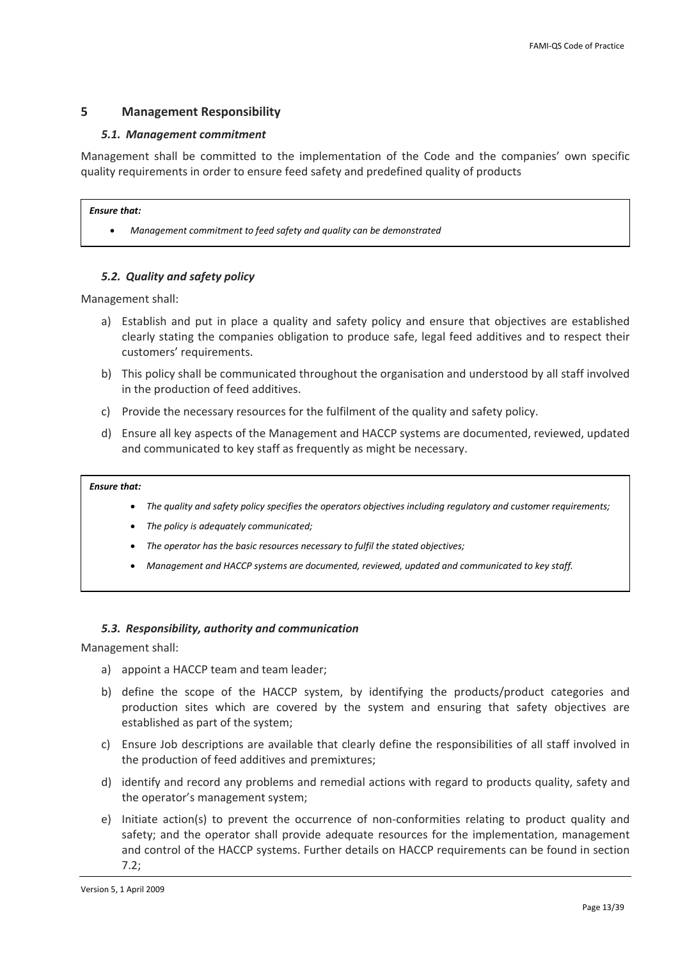## <span id="page-12-0"></span>**5 Management Responsibility**

## *5.1. Management commitment*

Management shall be committed to the implementation of the Code and the companies' own specific quality requirements in order to ensure feed safety and predefined quality of products

### *Ensure that:*

• *Management commitment to feed safety and quality can be demonstrated*

## *5.2. Quality and safety policy*

<span id="page-12-1"></span>Management shall:

- a) Establish and put in place a quality and safety policy and ensure that objectives are established clearly stating the companies obligation to produce safe, legal feed additives and to respect their customers' requirements.
- b) This policy shall be communicated throughout the organisation and understood by all staff involved in the production of feed additives.
- c) Provide the necessary resources for the fulfilment of the quality and safety policy.
- d) Ensure all key aspects of the Management and HACCP systems are documented, reviewed, updated and communicated to key staff as frequently as might be necessary.

### *Ensure that:*

- *The quality and safety policy specifies the operators objectives including regulatory and customer requirements;*
- *The policy is adequately communicated;*
- *The operator has the basic resources necessary to fulfil the stated objectives;*
- *Management and HACCP systems are documented, reviewed, updated and communicated to key staff.*

## *5.3. Responsibility, authority and communication*

<span id="page-12-2"></span>Management shall:

- a) appoint a HACCP team and team leader;
- b) define the scope of the HACCP system, by identifying the products/product categories and production sites which are covered by the system and ensuring that safety objectives are established as part of the system;
- c) Ensure Job descriptions are available that clearly define the responsibilities of all staff involved in the production of feed additives and premixtures;
- d) identify and record any problems and remedial actions with regard to products quality, safety and the operator's management system;
- e) Initiate action(s) to prevent the occurrence of non-conformities relating to product quality and safety; and the operator shall provide adequate resources for the implementation, management and control of the HACCP systems. Further details on HACCP requirements can be found in section 7.2;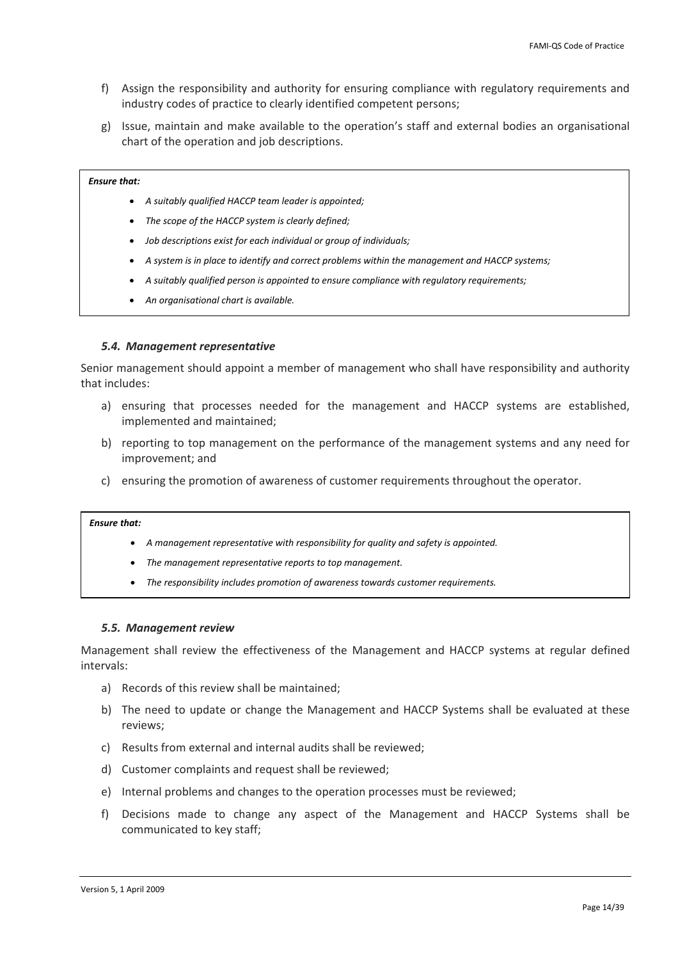- <span id="page-13-0"></span>f) Assign the responsibility and authority for ensuring compliance with regulatory requirements and industry codes of practice to clearly identified competent persons;
- g) Issue, maintain and make available to the operation's staff and external bodies an organisational chart of the operation and job descriptions.

- *A suitably qualified HACCP team leader is appointed;*
- *The scope of the HACCP system is clearly defined;*
- *Job descriptions exist for each individual or group of individuals;*
- *A system is in place to identify and correct problems within the management and HACCP systems;*
- *A suitably qualified person is appointed to ensure compliance with regulatory requirements;*
- *An organisational chart is available.*

### *5.4. Management representative*

<span id="page-13-1"></span>Senior management should appoint a member of management who shall have responsibility and authority that includes:

- a) ensuring that processes needed for the management and HACCP systems are established, implemented and maintained;
- b) reporting to top management on the performance of the management systems and any need for improvement; and
- c) ensuring the promotion of awareness of customer requirements throughout the operator.

## *Ensure that:*

- *A management representative with responsibility for quality and safety is appointed.*
- *The management representative reports to top management.*
- *The responsibility includes promotion of awareness towards customer requirements.*

### *5.5. Management review*

Management shall review the effectiveness of the Management and HACCP systems at regular defined intervals:

- a) Records of this review shall be maintained;
- b) The need to update or change the Management and HACCP Systems shall be evaluated at these reviews;
- c) Results from external and internal audits shall be reviewed;
- d) Customer complaints and request shall be reviewed;
- e) Internal problems and changes to the operation processes must be reviewed;
- f) Decisions made to change any aspect of the Management and HACCP Systems shall be communicated to key staff;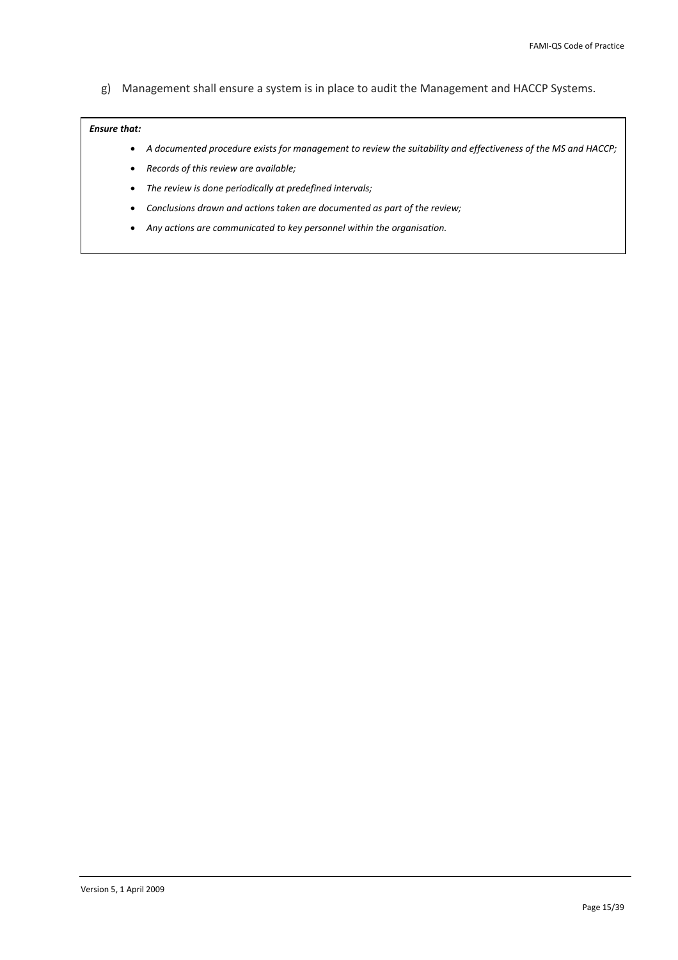g) Management shall ensure a system is in place to audit the Management and HACCP Systems.

- A documented procedure exists for management to review the suitability and effectiveness of the MS and HACCP;
- *Records of this review are available;*
- *The review is done periodically at predefined intervals;*
- *Conclusions drawn and actions taken are documented as part of the review;*
- *Any actions are communicated to key personnel within the organisation.*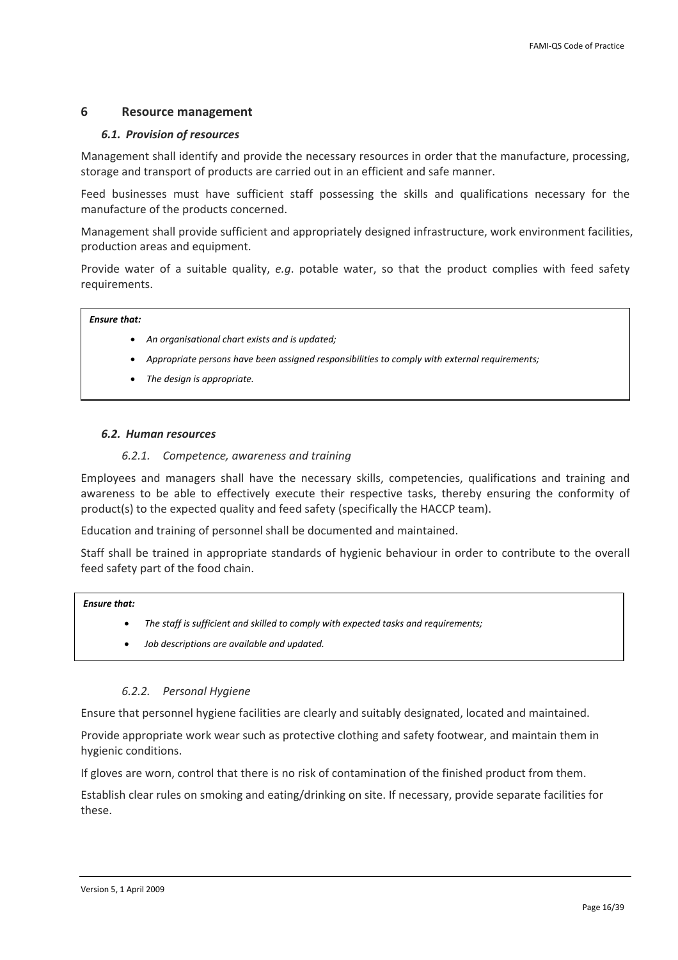## <span id="page-15-0"></span>**6 Resource management**

## *6.1. Provision of resources*

Management shall identify and provide the necessary resources in order that the manufacture, processing, storage and transport of products are carried out in an efficient and safe manner.

Feed businesses must have sufficient staff possessing the skills and qualifications necessary for the manufacture of the products concerned.

Management shall provide sufficient and appropriately designed infrastructure, work environment facilities, production areas and equipment.

Provide water of a suitable quality, *e.g*. potable water, so that the product complies with feed safety requirements.

## *Ensure that:*

- *An organisational chart exists and is updated;*
- *Appropriate persons have been assigned responsibilities to comply with external requirements;*
- *The design is appropriate.*

## *6.2. Human resources*

## *6.2.1. Competence, awareness and training*

Employees and managers shall have the necessary skills, competencies, qualifications and training and awareness to be able to effectively execute their respective tasks, thereby ensuring the conformity of product(s) to the expected quality and feed safety (specifically the HACCP team).

Education and training of personnel shall be documented and maintained.

Staff shall be trained in appropriate standards of hygienic behaviour in order to contribute to the overall feed safety part of the food chain.

#### *Ensure that:*

- *The staff is sufficient and skilled to comply with expected tasks and requirements;*
- *Job descriptions are available and updated.*

## *6.2.2. Personal Hygiene*

Ensure that personnel hygiene facilities are clearly and suitably designated, located and maintained.

Provide appropriate work wear such as protective clothing and safety footwear, and maintain them in hygienic conditions.

If gloves are worn, control that there is no risk of contamination of the finished product from them.

Establish clear rules on smoking and eating/drinking on site. If necessary, provide separate facilities for these.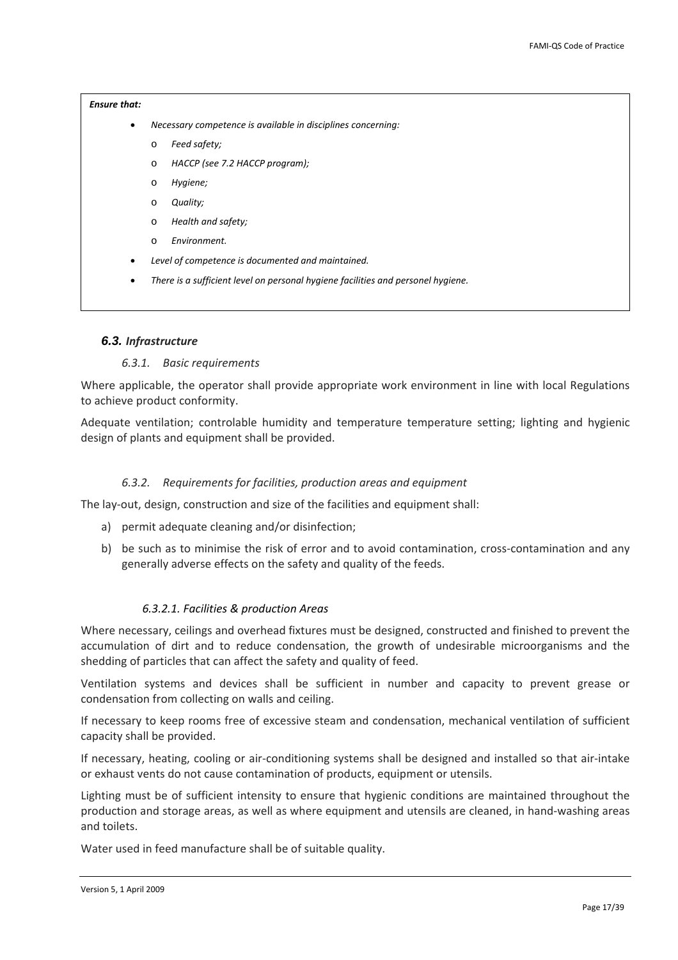- <span id="page-16-0"></span>• *Necessary competence is available in disciplines concerning:*
	- o *Feed safety;*
	- o *HACCP (see 7.2 HACCP program);*
	- o *Hygiene;*
	- o *Quality;*
	- o *Health and safety;*
	- o *Environment.*
- *Level of competence is documented and maintained.*
- *There is a sufficient level on personal hygiene facilities and personel hygiene.*

## *6.3. Infrastructure*

### *6.3.1. Basic requirements*

Where applicable, the operator shall provide appropriate work environment in line with local Regulations to achieve product conformity.

Adequate ventilation; controlable humidity and temperature temperature setting; lighting and hygienic design of plants and equipment shall be provided.

### *6.3.2. Requirements for facilities, production areas and equipment*

The lay-out, design, construction and size of the facilities and equipment shall:

- a) permit adequate cleaning and/or disinfection;
- b) be such as to minimise the risk of error and to avoid contamination, cross-contamination and any generally adverse effects on the safety and quality of the feeds.

### *6.3.2.1. Facilities & production Areas*

Where necessary, ceilings and overhead fixtures must be designed, constructed and finished to prevent the accumulation of dirt and to reduce condensation, the growth of undesirable microorganisms and the shedding of particles that can affect the safety and quality of feed.

Ventilation systems and devices shall be sufficient in number and capacity to prevent grease or condensation from collecting on walls and ceiling.

If necessary to keep rooms free of excessive steam and condensation, mechanical ventilation of sufficient capacity shall be provided.

If necessary, heating, cooling or air‐conditioning systems shall be designed and installed so that air‐intake or exhaust vents do not cause contamination of products, equipment or utensils.

Lighting must be of sufficient intensity to ensure that hygienic conditions are maintained throughout the production and storage areas, as well as where equipment and utensils are cleaned, in hand‐washing areas and toilets.

Water used in feed manufacture shall be of suitable quality.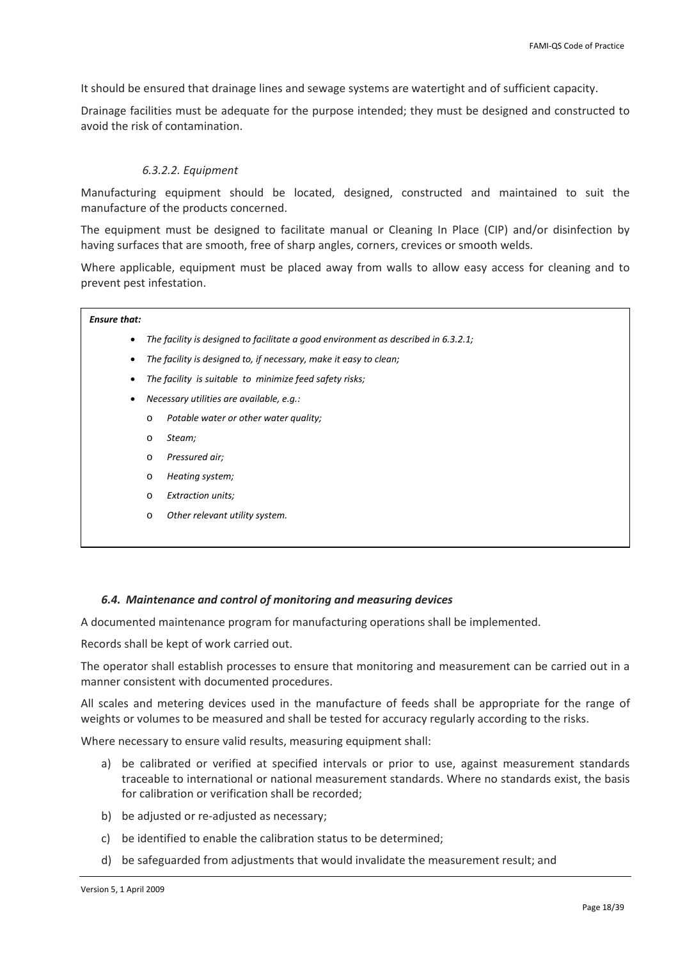<span id="page-17-0"></span>It should be ensured that drainage lines and sewage systems are watertight and of sufficient capacity.

Drainage facilities must be adequate for the purpose intended; they must be designed and constructed to avoid the risk of contamination.

## *6.3.2.2. Equipment*

Manufacturing equipment should be located, designed, constructed and maintained to suit the manufacture of the products concerned.

The equipment must be designed to facilitate manual or Cleaning In Place (CIP) and/or disinfection by having surfaces that are smooth, free of sharp angles, corners, crevices or smooth welds.

Where applicable, equipment must be placed away from walls to allow easy access for cleaning and to prevent pest infestation.

### *Ensure that:*

- *The facility is designed to facilitate a good environment as described in 6.3.2.1;*
- *The facility is designed to, if necessary, make it easy to clean;*
- *The facility is suitable to minimize feed safety risks;*
- *Necessary utilities are available, e.g.:*
	- o *Potable water or other water quality;*
	- o *Steam;*
	- o *Pressured air;*
	- o *Heating system;*
	- o *Extraction units;*
	- o *Other relevant utility system.*

### *6.4. Maintenance and control of monitoring and measuring devices*

A documented maintenance program for manufacturing operations shall be implemented.

Records shall be kept of work carried out.

The operator shall establish processes to ensure that monitoring and measurement can be carried out in a manner consistent with documented procedures.

All scales and metering devices used in the manufacture of feeds shall be appropriate for the range of weights or volumes to be measured and shall be tested for accuracy regularly according to the risks.

Where necessary to ensure valid results, measuring equipment shall:

- a) be calibrated or verified at specified intervals or prior to use, against measurement standards traceable to international or national measurement standards. Where no standards exist, the basis for calibration or verification shall be recorded;
- b) be adjusted or re-adjusted as necessary;
- c) be identified to enable the calibration status to be determined;
- d) be safeguarded from adjustments that would invalidate the measurement result; and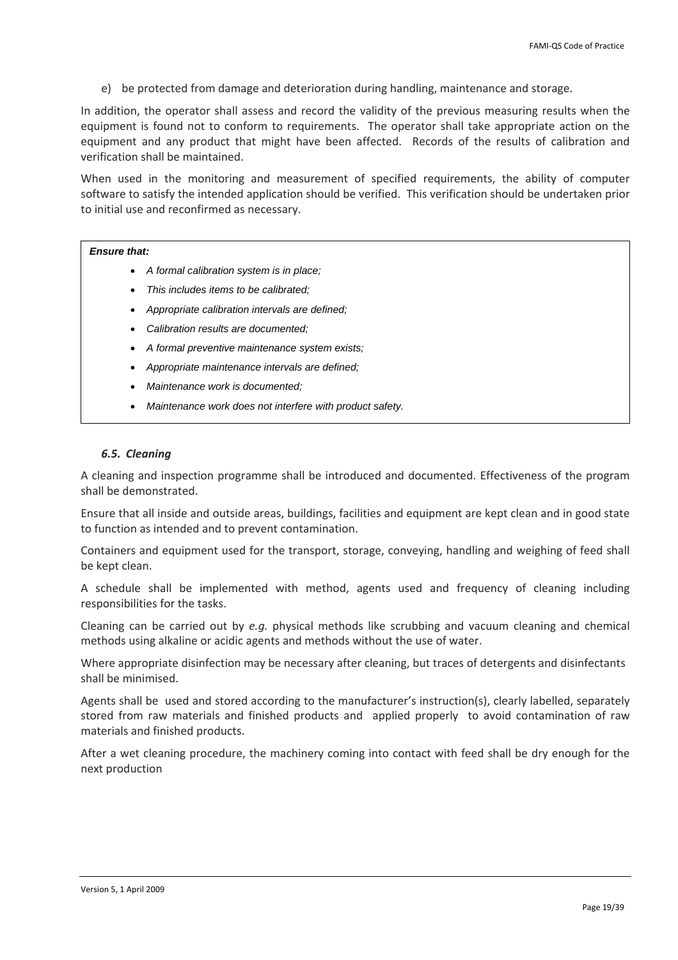<span id="page-18-0"></span>e) be protected from damage and deterioration during handling, maintenance and storage.

In addition, the operator shall assess and record the validity of the previous measuring results when the equipment is found not to conform to requirements. The operator shall take appropriate action on the equipment and any product that might have been affected. Records of the results of calibration and verification shall be maintained.

When used in the monitoring and measurement of specified requirements, the ability of computer software to satisfy the intended application should be verified. This verification should be undertaken prior to initial use and reconfirmed as necessary.

### *Ensure that:*

- *A formal calibration system is in place;*
- *This includes items to be calibrated;*
- *Appropriate calibration intervals are defined;*
- *Calibration results are documented;*
- *A formal preventive maintenance system exists;*
- *Appropriate maintenance intervals are defined;*
- *Maintenance work is documented;*
- *Maintenance work does not interfere with product safety.*

## *6.5. Cleaning*

A cleaning and inspection programme shall be introduced and documented. Effectiveness of the program shall be demonstrated.

Ensure that all inside and outside areas, buildings, facilities and equipment are kept clean and in good state to function as intended and to prevent contamination.

Containers and equipment used for the transport, storage, conveying, handling and weighing of feed shall be kept clean.

A schedule shall be implemented with method, agents used and frequency of cleaning including responsibilities for the tasks.

Cleaning can be carried out by *e.g.* physical methods like scrubbing and vacuum cleaning and chemical methods using alkaline or acidic agents and methods without the use of water.

Where appropriate disinfection may be necessary after cleaning, but traces of detergents and disinfectants shall be minimised.

Agents shall be used and stored according to the manufacturer's instruction(s), clearly labelled, separately stored from raw materials and finished products and applied properly to avoid contamination of raw materials and finished products.

After a wet cleaning procedure, the machinery coming into contact with feed shall be dry enough for the next production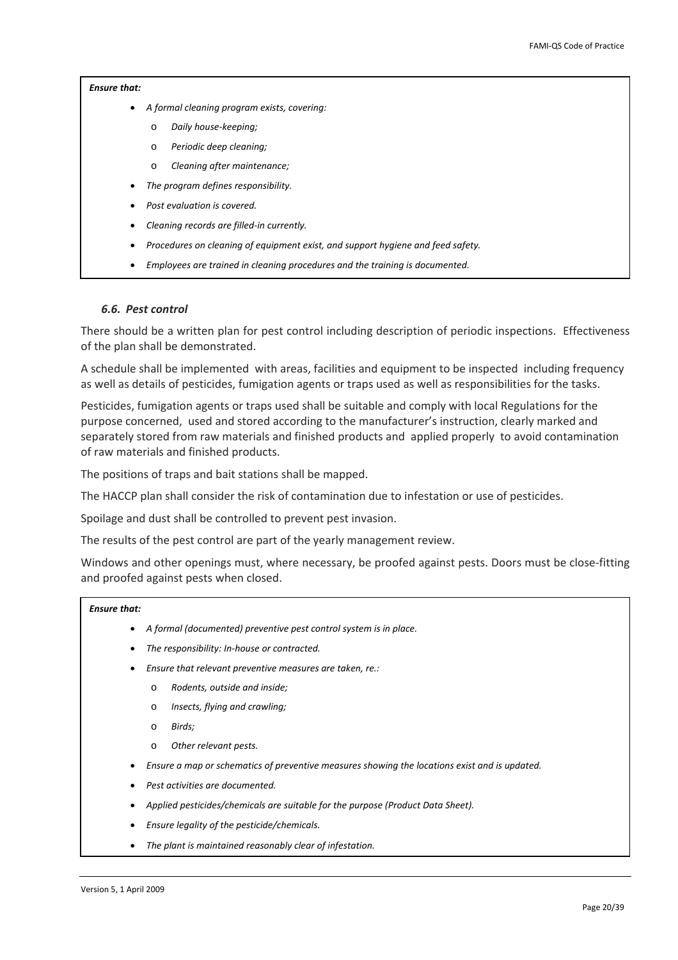- <span id="page-19-0"></span>• *A formal cleaning program exists, covering:*
	- o *Daily house‐keeping;*
	- o *Periodic deep cleaning;*
	- o *Cleaning after maintenance;*
- *The program defines responsibility.*
- *Post evaluation is covered.*
- *Cleaning records are filled‐in currently.*
- *Procedures on cleaning of equipment exist, and support hygiene and feed safety.*
- *Employees are trained in cleaning procedures and the training is documented.*

#### *6.6. Pest control*

There should be a written plan for pest control including description of periodic inspections. Effectiveness of the plan shall be demonstrated.

A schedule shall be implemented with areas, facilities and equipment to be inspected including frequency as well as details of pesticides, fumigation agents or traps used as well as responsibilities for the tasks.

Pesticides, fumigation agents or traps used shall be suitable and comply with local Regulations for the purpose concerned, used and stored according to the manufacturer's instruction, clearly marked and separately stored from raw materials and finished products and applied properly to avoid contamination of raw materials and finished products.

The positions of traps and bait stations shall be mapped.

The HACCP plan shall consider the risk of contamination due to infestation or use of pesticides.

Spoilage and dust shall be controlled to prevent pest invasion.

The results of the pest control are part of the yearly management review.

Windows and other openings must, where necessary, be proofed against pests. Doors must be close-fitting and proofed against pests when closed.

- *A formal (documented) preventive pest control system is in place.*
- *The responsibility: In‐house or contracted.*
- *Ensure that relevant preventive measures are taken, re.:*
	- o *Rodents, outside and inside;*
	- o *Insects, flying and crawling;*
	- o *Birds;*
	- o *Other relevant pests.*
- *Ensure a map or schematics of preventive measures showing the locations exist and is updated.*
- *Pest activities are documented.*
- *Applied pesticides/chemicals are suitable for the purpose (Product Data Sheet).*
- *Ensure legality of the pesticide/chemicals.*
- *The plant is maintained reasonably clear of infestation.*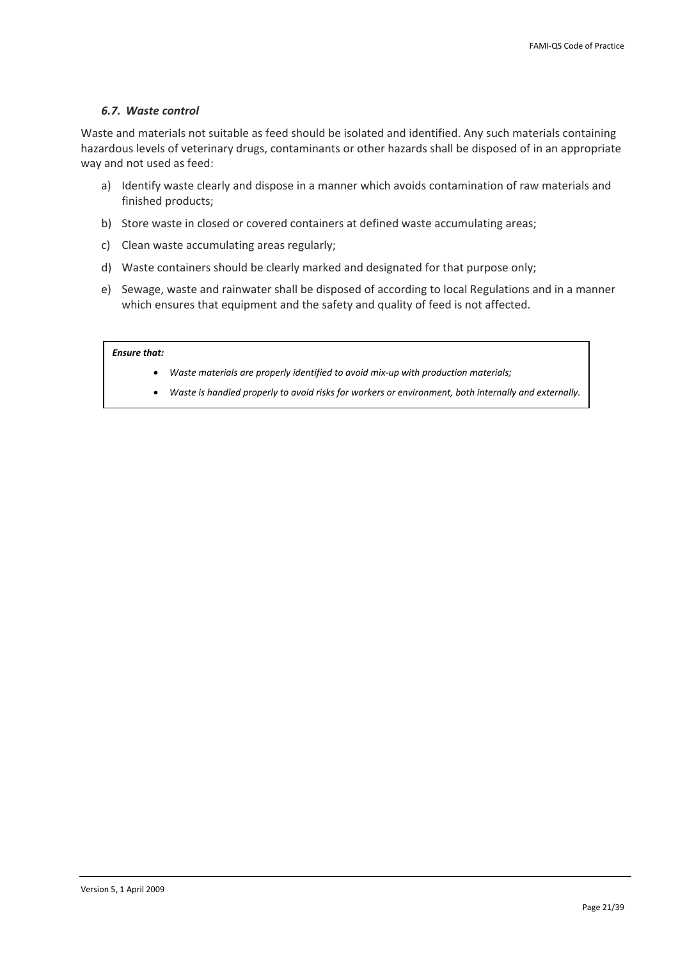## <span id="page-20-0"></span>*6.7. Waste control*

Waste and materials not suitable as feed should be isolated and identified. Any such materials containing hazardous levels of veterinary drugs, contaminants or other hazards shall be disposed of in an appropriate way and not used as feed:

- a) Identify waste clearly and dispose in a manner which avoids contamination of raw materials and finished products;
- b) Store waste in closed or covered containers at defined waste accumulating areas;
- c) Clean waste accumulating areas regularly;
- d) Waste containers should be clearly marked and designated for that purpose only;
- e) Sewage, waste and rainwater shall be disposed of according to local Regulations and in a manner which ensures that equipment and the safety and quality of feed is not affected.

- *Waste materials are properly identified to avoid mix‐up with production materials;*
- *Waste is handled properly to avoid risks for workers or environment, both internally and externally.*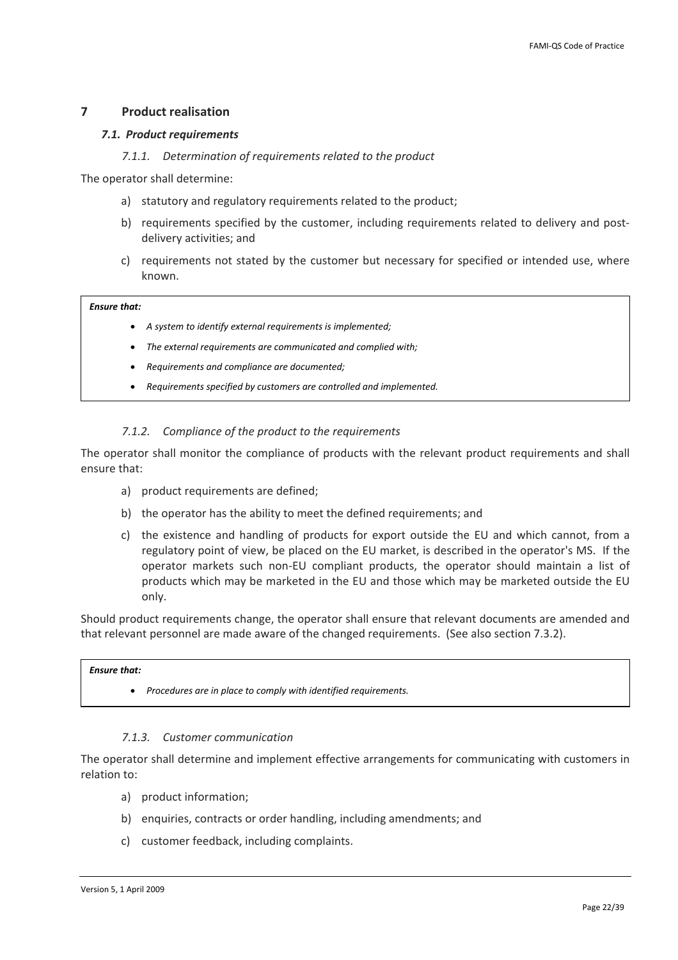## <span id="page-21-0"></span>**7 Product realisation**

### *7.1. Product requirements*

*7.1.1. Determination of requirements related to the product*

The operator shall determine:

- a) statutory and regulatory requirements related to the product;
- b) requirements specified by the customer, including requirements related to delivery and postdelivery activities; and
- c) requirements not stated by the customer but necessary for specified or intended use, where known.

### *Ensure that:*

- *A system to identify external requirements is implemented;*
- *The external requirements are communicated and complied with;*
- *Requirements and compliance are documented;*
- *Requirements specified by customers are controlled and implemented.*

## *7.1.2. Compliance of the product to the requirements*

The operator shall monitor the compliance of products with the relevant product requirements and shall ensure that:

- a) product requirements are defined;
- b) the operator has the ability to meet the defined requirements; and
- c) the existence and handling of products for export outside the EU and which cannot, from a regulatory point of view, be placed on the EU market, is described in the operator's MS. If the operator markets such non‐EU compliant products, the operator should maintain a list of products which may be marketed in the EU and those which may be marketed outside the EU only.

Should product requirements change, the operator shall ensure that relevant documents are amended and that relevant personnel are made aware of the changed requirements. (See also section [7.3.2\)](#page-23-1).

## *Ensure that:*

• *Procedures are in place to comply with identified requirements.*

### *7.1.3. Customer communication*

The operator shall determine and implement effective arrangements for communicating with customers in relation to:

- a) product information;
- b) enquiries, contracts or order handling, including amendments; and
- c) customer feedback, including complaints.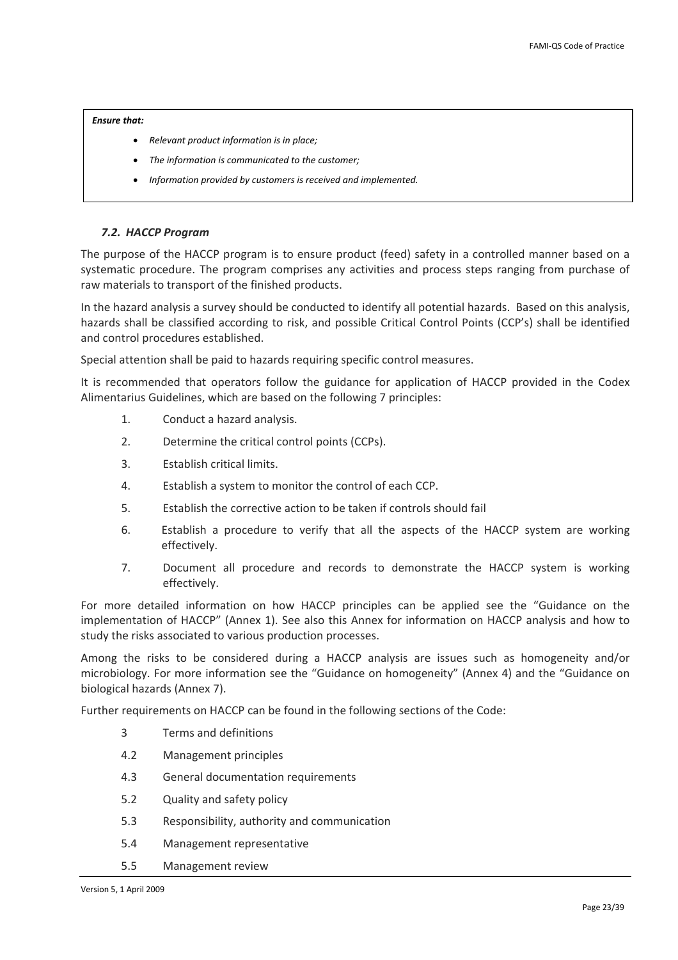- <span id="page-22-0"></span>• *Relevant product information is in place;*
- *The information is communicated to the customer;*
- *Information provided by customers is received and implemented.*

## *7.2. HACCP Program*

The purpose of the HACCP program is to ensure product (feed) safety in a controlled manner based on a systematic procedure. The program comprises any activities and process steps ranging from purchase of raw materials to transport of the finished products.

In the hazard analysis a survey should be conducted to identify all potential hazards. Based on this analysis, hazards shall be classified according to risk, and possible Critical Control Points (CCP's) shall be identified and control procedures established.

Special attention shall be paid to hazards requiring specific control measures.

It is recommended that operators follow the guidance for application of HACCP provided in the Codex Alimentarius Guidelines, which are based on the following 7 principles:

- 1. Conduct a hazard analysis.
- 2. Determine the critical control points (CCPs).
- 3. Establish critical limits.
- 4. Establish a system to monitor the control of each CCP.
- 5. Establish the corrective action to be taken if controls should fail
- 6. Establish a procedure to verify that all the aspects of the HACCP system are working effectively.
- 7. Document all procedure and records to demonstrate the HACCP system is working effectively.

For more detailed information on how HACCP principles can be applied see the "Guidance on the implementation of HACCP" (Annex 1). See also this Annex for information on HACCP analysis and how to study the risks associated to various production processes.

Among the risks to be considered during a HACCP analysis are issues such as homogeneity and/or microbiology. For more information see the "Guidance on homogeneity" (Annex 4) and the "Guidance on biological hazards (Annex 7).

Further requirements on HACCP can be found in the following sections of the Code:

- 3 Terms and definitions
- [4.2](#page-9-1) Management principles
- 4.3 General documentation requirements
- [5.2](#page-12-1) Quality and safety policy
- [5.3](#page-12-2) Responsibility, authority and communication
- [5.4](#page-13-1) Management representative
- 5.5 Management review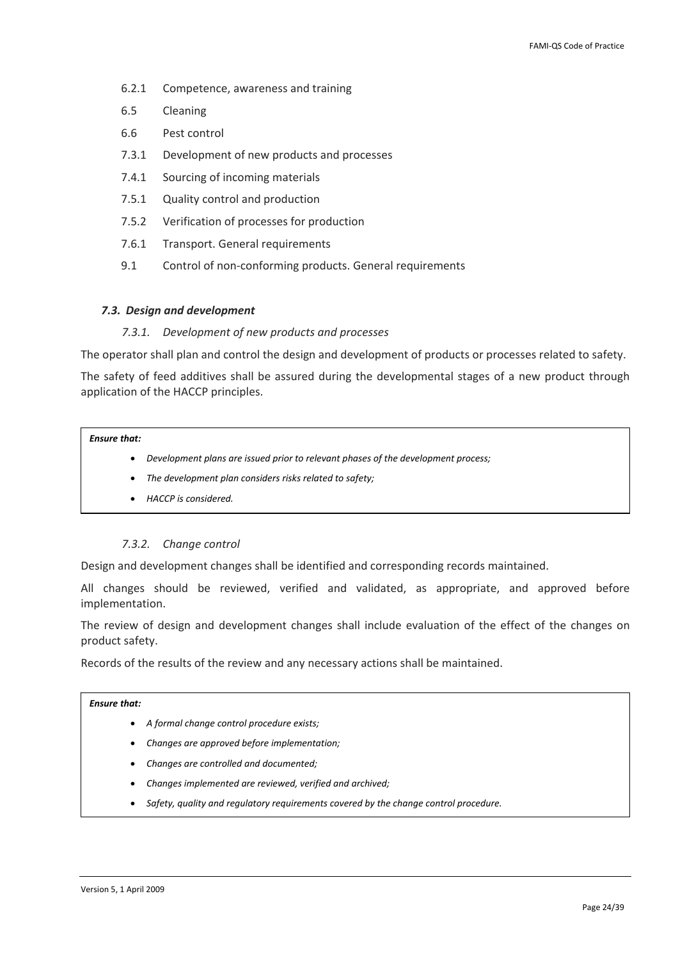- <span id="page-23-0"></span>6.2.1 Competence, awareness and training
- 6.5 Cleaning
- 6.6 Pest control
- [7.3.1](#page-23-2) Development of new products and processes
- [7.4.1](#page-24-1) Sourcing of incoming materials
- [7.5.1](#page-26-1) Quality control and production
- 7.5.2 Verification of processes for production
- 7.6.1 Transport. General requirements
- 9.1 Control of non-conforming products. General requirements

### *7.3. Design and development*

### *7.3.1. Development of new products and processes*

<span id="page-23-2"></span>The operator shall plan and control the design and development of products or processes related to safety.

The safety of feed additives shall be assured during the developmental stages of a new product through application of the HACCP principles.

### *Ensure that:*

- *Development plans are issued prior to relevant phases of the development process;*
- *The development plan considers risks related to safety;*
- *HACCP is considered.*

### *7.3.2. Change control*

<span id="page-23-1"></span>Design and development changes shall be identified and corresponding records maintained.

All changes should be reviewed, verified and validated, as appropriate, and approved before implementation.

The review of design and development changes shall include evaluation of the effect of the changes on product safety.

Records of the results of the review and any necessary actions shall be maintained.

- *A formal change control procedure exists;*
- *Changes are approved before implementation;*
- *Changes are controlled and documented;*
- *Changes implemented are reviewed, verified and archived;*
- *Safety, quality and regulatory requirements covered by the change control procedure.*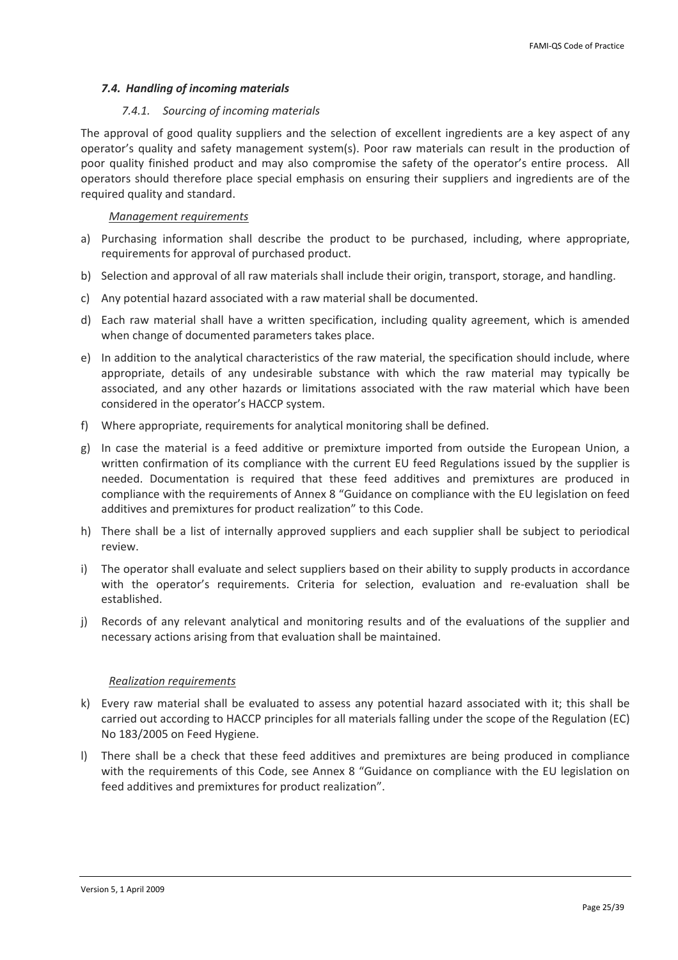## <span id="page-24-0"></span>*7.4. Handling of incoming materials*

## *7.4.1. Sourcing of incoming materials*

<span id="page-24-1"></span>The approval of good quality suppliers and the selection of excellent ingredients are a key aspect of any operator's quality and safety management system(s). Poor raw materials can result in the production of poor quality finished product and may also compromise the safety of the operator's entire process. All operators should therefore place special emphasis on ensuring their suppliers and ingredients are of the required quality and standard.

## *Management requirements*

- a) Purchasing information shall describe the product to be purchased, including, where appropriate, requirements for approval of purchased product.
- b) Selection and approval of all raw materials shall include their origin, transport, storage, and handling.
- c) Any potential hazard associated with a raw material shall be documented.
- d) Each raw material shall have a written specification, including quality agreement, which is amended when change of documented parameters takes place.
- e) In addition to the analytical characteristics of the raw material, the specification should include, where appropriate, details of any undesirable substance with which the raw material may typically be associated, and any other hazards or limitations associated with the raw material which have been considered in the operator's HACCP system.
- f) Where appropriate, requirements for analytical monitoring shall be defined.
- g) In case the material is a feed additive or premixture imported from outside the European Union, a written confirmation of its compliance with the current EU feed Regulations issued by the supplier is needed. Documentation is required that these feed additives and premixtures are produced in compliance with the requirements of Annex 8 "Guidance on compliance with the EU legislation on feed additives and premixtures for product realization" to this Code.
- h) There shall be a list of internally approved suppliers and each supplier shall be subject to periodical review.
- i) The operator shall evaluate and select suppliers based on their ability to supply products in accordance with the operator's requirements. Criteria for selection, evaluation and re-evaluation shall be established.
- j) Records of any relevant analytical and monitoring results and of the evaluations of the supplier and necessary actions arising from that evaluation shall be maintained.

## *Realization requirements*

- k) Every raw material shall be evaluated to assess any potential hazard associated with it; this shall be carried out according to HACCP principles for all materials falling under the scope of the Regulation (EC) No 183/2005 on Feed Hygiene.
- l) There shall be a check that these feed additives and premixtures are being produced in compliance with the requirements of this Code, see Annex 8 "Guidance on compliance with the EU legislation on feed additives and premixtures for product realization".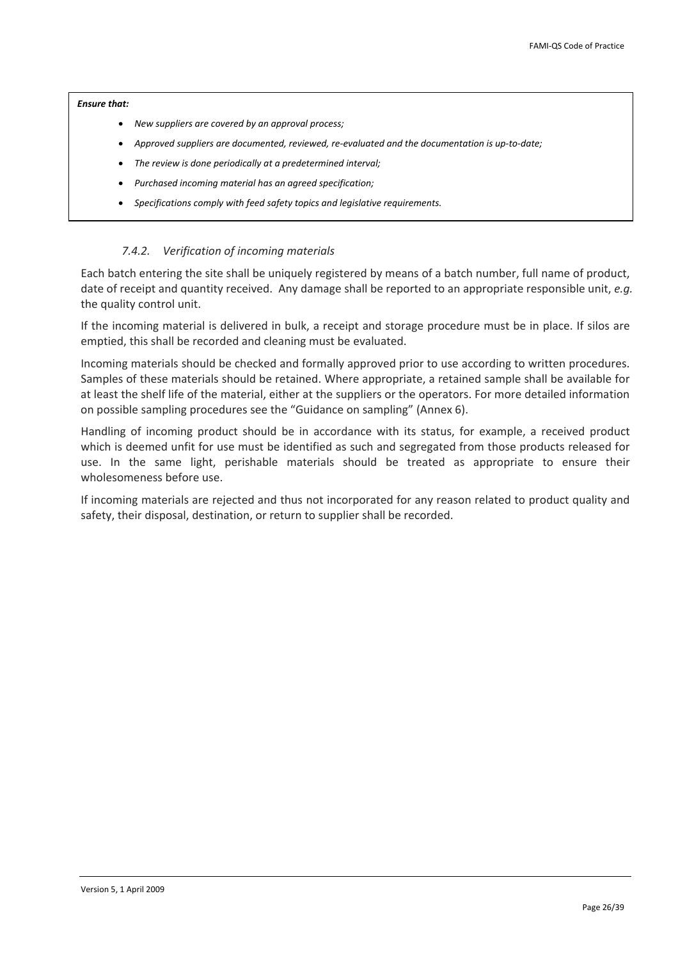- <span id="page-25-0"></span>• *New suppliers are covered by an approval process;*
- *Approved suppliers are documented, reviewed, re‐evaluated and the documentation is up‐to‐date;*
- *The review is done periodically at a predetermined interval;*
- *Purchased incoming material has an agreed specification;*
- *Specifications comply with feed safety topics and legislative requirements.*

## *7.4.2. Verification of incoming materials*

<span id="page-25-1"></span>Each batch entering the site shall be uniquely registered by means of a batch number, full name of product, date of receipt and quantity received. Any damage shall be reported to an appropriate responsible unit, *e.g.* the quality control unit.

If the incoming material is delivered in bulk, a receipt and storage procedure must be in place. If silos are emptied, this shall be recorded and cleaning must be evaluated.

Incoming materials should be checked and formally approved prior to use according to written procedures. Samples of these materials should be retained. Where appropriate, a retained sample shall be available for at least the shelf life of the material, either at the suppliers or the operators. For more detailed information on possible sampling procedures see the "Guidance on sampling" (Annex 6).

Handling of incoming product should be in accordance with its status, for example, a received product which is deemed unfit for use must be identified as such and segregated from those products released for use. In the same light, perishable materials should be treated as appropriate to ensure their wholesomeness before use.

If incoming materials are rejected and thus not incorporated for any reason related to product quality and safety, their disposal, destination, or return to supplier shall be recorded.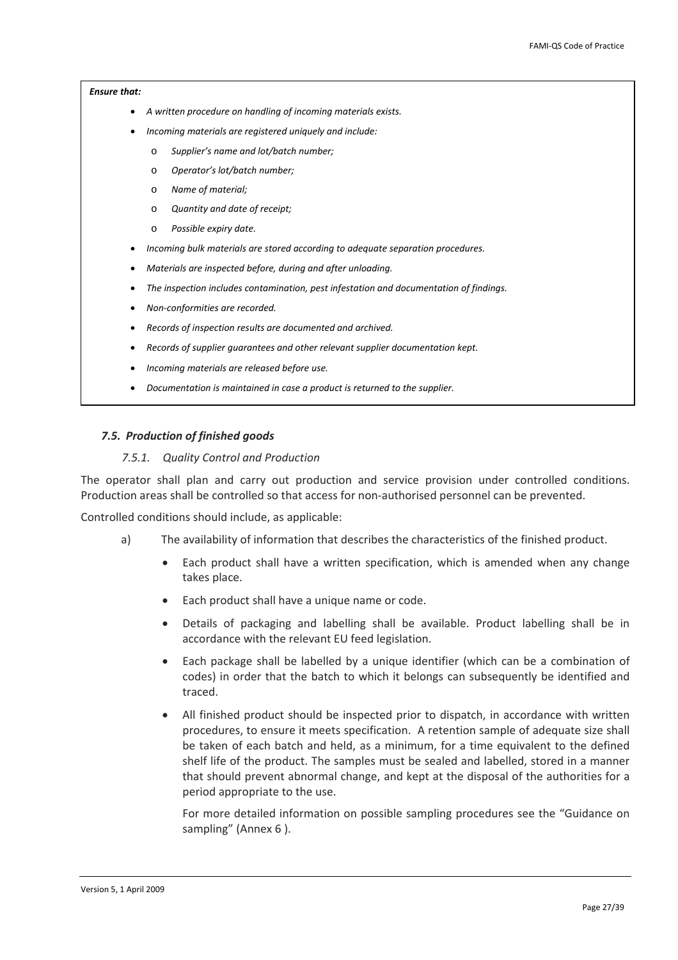- <span id="page-26-0"></span>• *A written procedure on handling of incoming materials exists.*
- *Incoming materials are registered uniquely and include:*
	- o *Supplier's name and lot/batch number;*
	- o *Operator's lot/batch number;*
	- o *Name of material;*
	- o *Quantity and date of receipt;*
	- o *Possible expiry date.*
- *Incoming bulk materials are stored according to adequate separation procedures.*
- *Materials are inspected before, during and after unloading.*
- *The inspection includes contamination, pest infestation and documentation of findings.*
- *Non‐conformities are recorded.*
- *Records of inspection results are documented and archived.*
- *Records of supplier guarantees and other relevant supplier documentation kept.*
- *Incoming materials are released before use.*
- *Documentation is maintained in case a product is returned to the supplier.*

#### *7.5. Production of finished goods*

### *7.5.1. Quality Control and Production*

<span id="page-26-1"></span>The operator shall plan and carry out production and service provision under controlled conditions. Production areas shall be controlled so that access for non‐authorised personnel can be prevented.

Controlled conditions should include, as applicable:

- a) The availability of information that describes the characteristics of the finished product.
	- Each product shall have a written specification, which is amended when any change takes place.
	- Each product shall have a unique name or code.
	- Details of packaging and labelling shall be available. Product labelling shall be in accordance with the relevant EU feed legislation.
	- Each package shall be labelled by a unique identifier (which can be a combination of codes) in order that the batch to which it belongs can subsequently be identified and traced.
	- All finished product should be inspected prior to dispatch, in accordance with written procedures, to ensure it meets specification. A retention sample of adequate size shall be taken of each batch and held, as a minimum, for a time equivalent to the defined shelf life of the product. The samples must be sealed and labelled, stored in a manner that should prevent abnormal change, and kept at the disposal of the authorities for a period appropriate to the use.

For more detailed information on possible sampling procedures see the "Guidance on sampling" (Annex 6 ).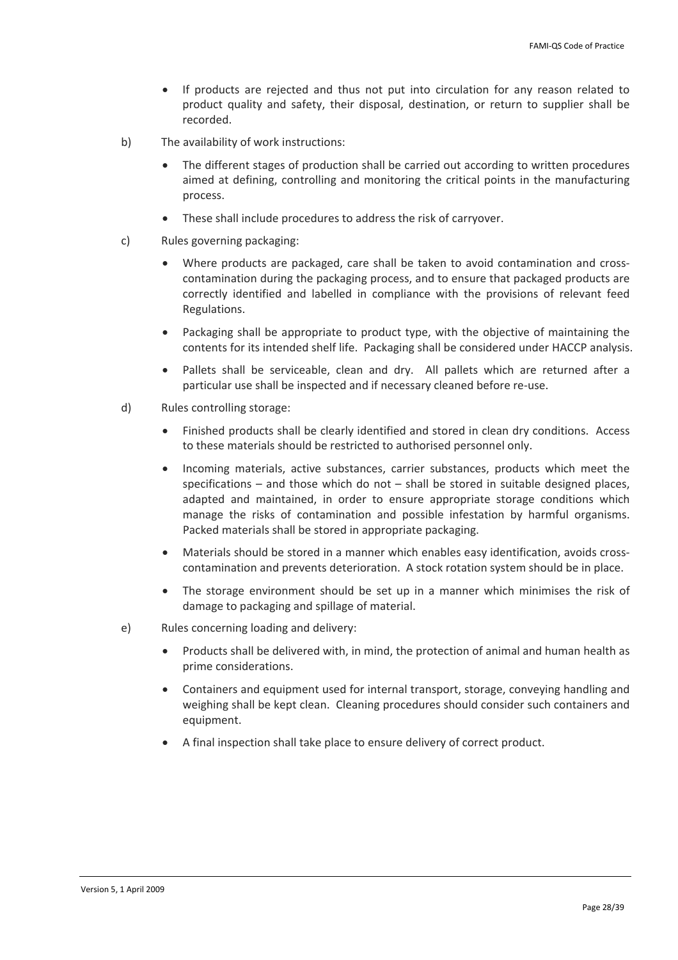- If products are rejected and thus not put into circulation for any reason related to product quality and safety, their disposal, destination, or return to supplier shall be recorded.
- b) The availability of work instructions:
	- The different stages of production shall be carried out according to written procedures aimed at defining, controlling and monitoring the critical points in the manufacturing process.
	- These shall include procedures to address the risk of carryover.
- c) Rules governing packaging:
	- Where products are packaged, care shall be taken to avoid contamination and crosscontamination during the packaging process, and to ensure that packaged products are correctly identified and labelled in compliance with the provisions of relevant feed Regulations.
	- Packaging shall be appropriate to product type, with the objective of maintaining the contents for its intended shelf life. Packaging shall be considered under HACCP analysis.
	- Pallets shall be serviceable, clean and dry. All pallets which are returned after a particular use shall be inspected and if necessary cleaned before re‐use.
- d) Rules controlling storage:
	- Finished products shall be clearly identified and stored in clean dry conditions. Access to these materials should be restricted to authorised personnel only.
	- Incoming materials, active substances, carrier substances, products which meet the specifications – and those which do not – shall be stored in suitable designed places, adapted and maintained, in order to ensure appropriate storage conditions which manage the risks of contamination and possible infestation by harmful organisms. Packed materials shall be stored in appropriate packaging.
	- Materials should be stored in a manner which enables easy identification, avoids crosscontamination and prevents deterioration. A stock rotation system should be in place.
	- The storage environment should be set up in a manner which minimises the risk of damage to packaging and spillage of material.
- e) Rules concerning loading and delivery:
	- Products shall be delivered with, in mind, the protection of animal and human health as prime considerations.
	- Containers and equipment used for internal transport, storage, conveying handling and weighing shall be kept clean. Cleaning procedures should consider such containers and equipment.
	- A final inspection shall take place to ensure delivery of correct product.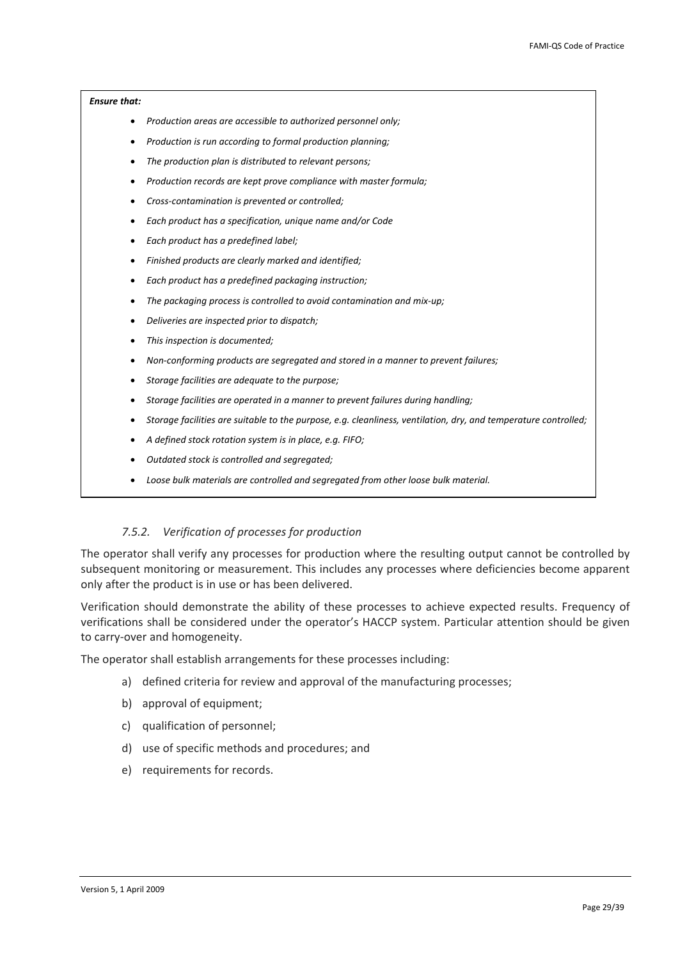- <span id="page-28-0"></span>• *Production areas are accessible to authorized personnel only;*
- *Production is run according to formal production planning;*
- *The production plan is distributed to relevant persons;*
- *Production records are kept prove compliance with master formula;*
- *Cross‐contamination is prevented or controlled;*
- *Each product has a specification, unique name and/or Code*
- *Each product has a predefined label;*
- *Finished products are clearly marked and identified;*
- *Each product has a predefined packaging instruction;*
- *The packaging process is controlled to avoid contamination and mix‐up;*
- *Deliveries are inspected prior to dispatch;*
- *This inspection is documented;*
- *Non‐conforming products are segregated and stored in a manner to prevent failures;*
- *Storage facilities are adequate to the purpose;*
- *Storage facilities are operated in a manner to prevent failures during handling;*
- *Storage facilities are suitable to the purpose, e.g. cleanliness, ventilation, dry, and temperature controlled;*
- *A defined stock rotation system is in place, e.g. FIFO;*
- *Outdated stock is controlled and segregated;*
- *Loose bulk materials are controlled and segregated from other loose bulk material.*

## *7.5.2. Verification of processes for production*

The operator shall verify any processes for production where the resulting output cannot be controlled by subsequent monitoring or measurement. This includes any processes where deficiencies become apparent only after the product is in use or has been delivered.

Verification should demonstrate the ability of these processes to achieve expected results. Frequency of verifications shall be considered under the operator's HACCP system. Particular attention should be given to carry‐over and homogeneity.

The operator shall establish arrangements for these processes including:

- a) defined criteria for review and approval of the manufacturing processes;
- b) approval of equipment;
- c) qualification of personnel;
- d) use of specific methods and procedures; and
- e) requirements for records.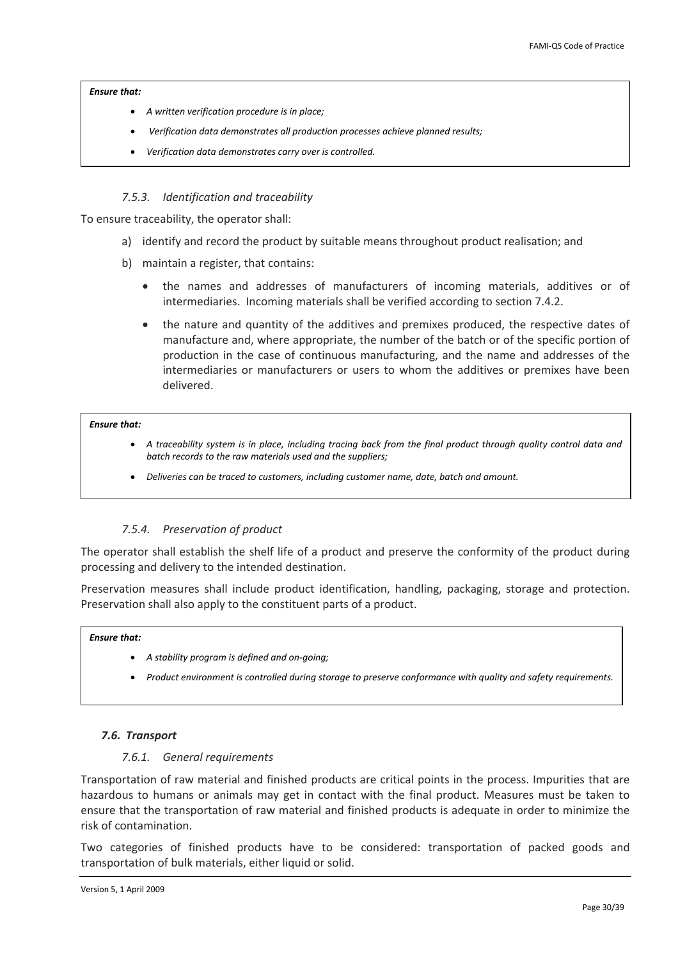- <span id="page-29-0"></span>• *A written verification procedure is in place;*
- *Verification data demonstrates all production processes achieve planned results;*
- *Verification data demonstrates carry over is controlled.*

## *7.5.3. Identification and traceability*

To ensure traceability, the operator shall:

- a) identify and record the product by suitable means throughout product realisation; and
- b) maintain a register, that contains:
	- the names and addresses of manufacturers of incoming materials, additives or of intermediaries. Incoming materials shall be verified according to section [7.4.2.](#page-25-1)
	- the nature and quantity of the additives and premixes produced, the respective dates of manufacture and, where appropriate, the number of the batch or of the specific portion of production in the case of continuous manufacturing, and the name and addresses of the intermediaries or manufacturers or users to whom the additives or premixes have been delivered.

### *Ensure that:*

- A traceability system is in place, including tracing back from the final product through quality control data and *batch records to the raw materials used and the suppliers;*
- *Deliveries can be traced to customers, including customer name, date, batch and amount.*

## *7.5.4. Preservation of product*

The operator shall establish the shelf life of a product and preserve the conformity of the product during processing and delivery to the intended destination.

Preservation measures shall include product identification, handling, packaging, storage and protection. Preservation shall also apply to the constituent parts of a product.

### *Ensure that:*

- *A stability program is defined and on‐going;*
- *Product environment is controlled during storage to preserve conformance with quality and safety requirements.*

## *7.6. Transport*

### *7.6.1. General requirements*

Transportation of raw material and finished products are critical points in the process. Impurities that are hazardous to humans or animals may get in contact with the final product. Measures must be taken to ensure that the transportation of raw material and finished products is adequate in order to minimize the risk of contamination.

Two categories of finished products have to be considered: transportation of packed goods and transportation of bulk materials, either liquid or solid.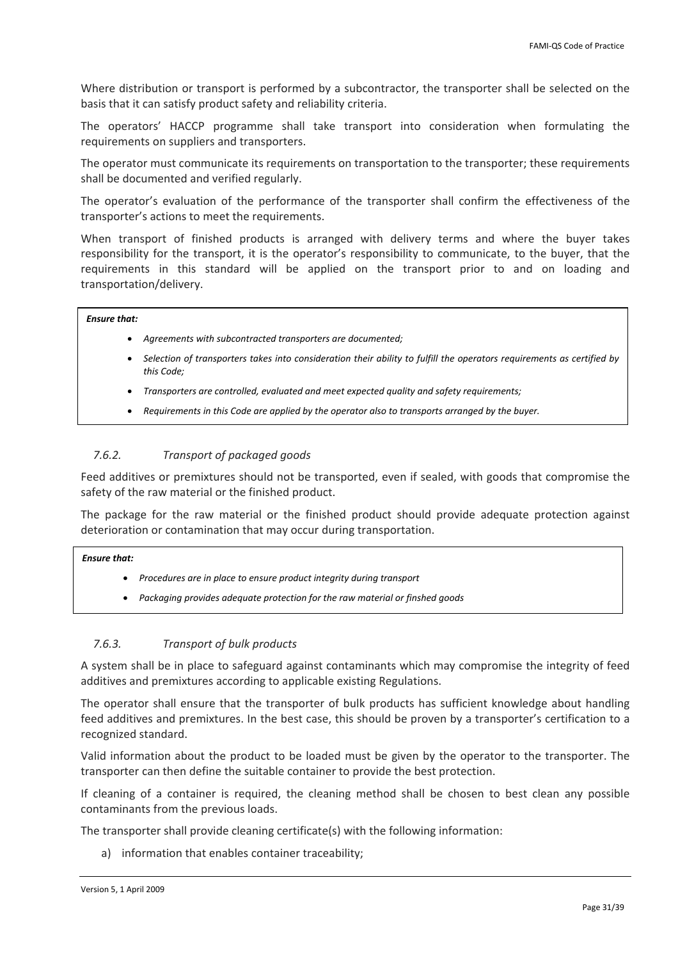<span id="page-30-0"></span>Where distribution or transport is performed by a subcontractor, the transporter shall be selected on the basis that it can satisfy product safety and reliability criteria.

The operators' HACCP programme shall take transport into consideration when formulating the requirements on suppliers and transporters.

The operator must communicate its requirements on transportation to the transporter; these requirements shall be documented and verified regularly.

The operator's evaluation of the performance of the transporter shall confirm the effectiveness of the transporter's actions to meet the requirements.

When transport of finished products is arranged with delivery terms and where the buyer takes responsibility for the transport, it is the operator's responsibility to communicate, to the buyer, that the requirements in this standard will be applied on the transport prior to and on loading and transportation/delivery.

## *Ensure that:*

- *Agreements with subcontracted transporters are documented;*
- Selection of transporters takes into consideration their ability to fulfill the operators requirements as certified by *this Code;*
- *Transporters are controlled, evaluated and meet expected quality and safety requirements;*
- *Requirements in this Code are applied by the operator also to transports arranged by the buyer.*

## *7.6.2. Transport of packaged goods*

Feed additives or premixtures should not be transported, even if sealed, with goods that compromise the safety of the raw material or the finished product.

The package for the raw material or the finished product should provide adequate protection against deterioration or contamination that may occur during transportation.

#### *Ensure that:*

- *Procedures are in place to ensure product integrity during transport*
- *Packaging provides adequate protection for the raw material or finshed goods*

### *7.6.3. Transport of bulk products*

A system shall be in place to safeguard against contaminants which may compromise the integrity of feed additives and premixtures according to applicable existing Regulations.

The operator shall ensure that the transporter of bulk products has sufficient knowledge about handling feed additives and premixtures. In the best case, this should be proven by a transporter's certification to a recognized standard.

Valid information about the product to be loaded must be given by the operator to the transporter. The transporter can then define the suitable container to provide the best protection.

If cleaning of a container is required, the cleaning method shall be chosen to best clean any possible contaminants from the previous loads.

The transporter shall provide cleaning certificate(s) with the following information:

a) information that enables container traceability;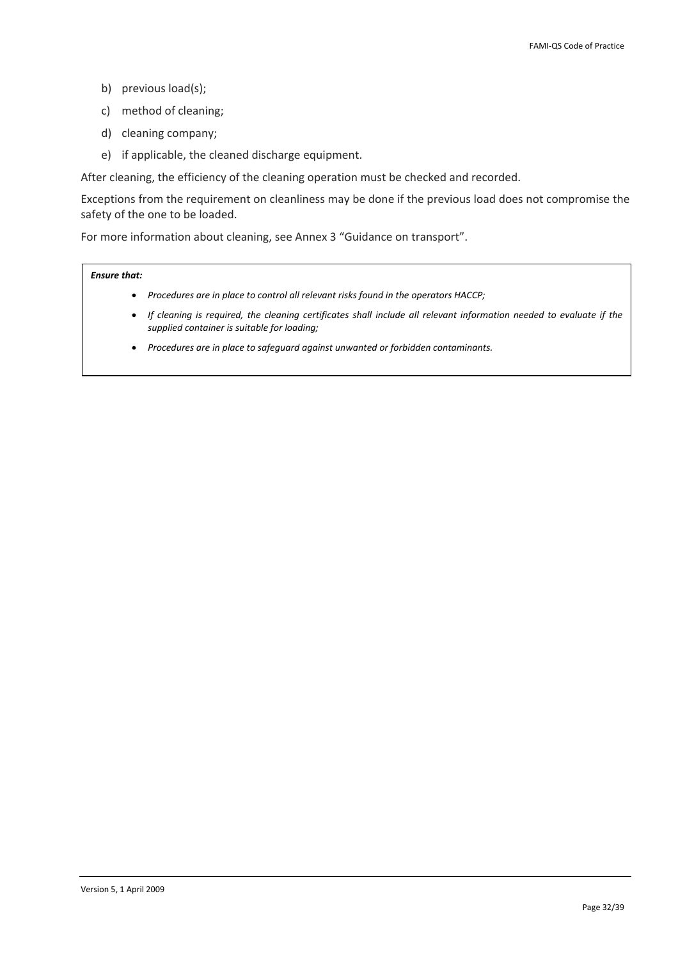- b) previous load(s);
- c) method of cleaning;
- d) cleaning company;
- e) if applicable, the cleaned discharge equipment.

After cleaning, the efficiency of the cleaning operation must be checked and recorded.

Exceptions from the requirement on cleanliness may be done if the previous load does not compromise the safety of the one to be loaded.

For more information about cleaning, see Annex 3 "Guidance on transport".

- *Procedures are in place to control all relevant risks found in the operators HACCP;*
- If cleaning is required, the cleaning certificates shall include all relevant information needed to evaluate if the *supplied container is suitable for loading;*
- *Procedures are in place to safeguard against unwanted or forbidden contaminants.*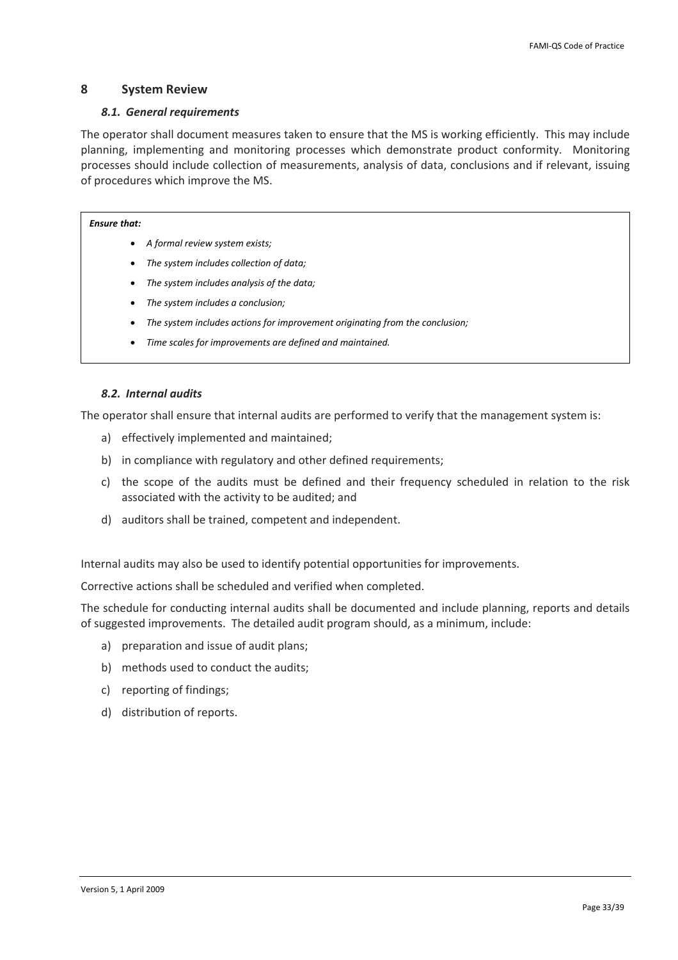## <span id="page-32-0"></span>**8 System Review**

## *8.1. General requirements*

The operator shall document measures taken to ensure that the MS is working efficiently. This may include planning, implementing and monitoring processes which demonstrate product conformity. Monitoring processes should include collection of measurements, analysis of data, conclusions and if relevant, issuing of procedures which improve the MS.

### *Ensure that:*

- *A formal review system exists;*
- *The system includes collection of data;*
- *The system includes analysis of the data;*
- *The system includes a conclusion;*
- *The system includes actions for improvement originating from the conclusion;*
- *Time scales for improvements are defined and maintained.*

## *8.2. Internal audits*

The operator shall ensure that internal audits are performed to verify that the management system is:

- a) effectively implemented and maintained;
- b) in compliance with regulatory and other defined requirements;
- c) the scope of the audits must be defined and their frequency scheduled in relation to the risk associated with the activity to be audited; and
- d) auditors shall be trained, competent and independent.

Internal audits may also be used to identify potential opportunities for improvements.

Corrective actions shall be scheduled and verified when completed.

The schedule for conducting internal audits shall be documented and include planning, reports and details of suggested improvements. The detailed audit program should, as a minimum, include:

- a) preparation and issue of audit plans;
- b) methods used to conduct the audits;
- c) reporting of findings;
- d) distribution of reports.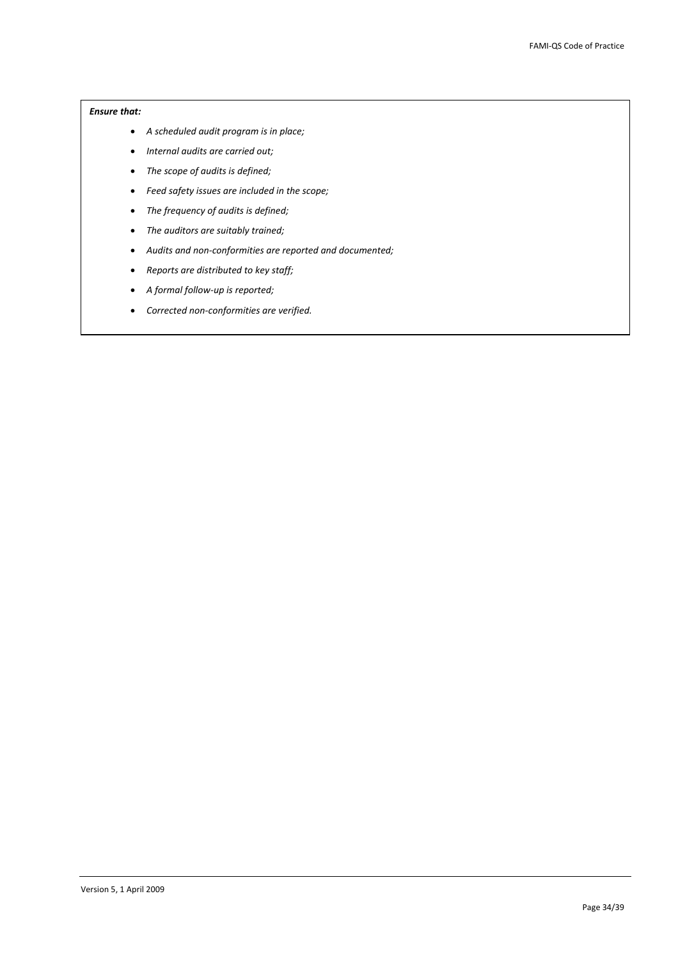- *A scheduled audit program is in place;*
- *Internal audits are carried out;*
- *The scope of audits is defined;*
- *Feed safety issues are included in the scope;*
- *The frequency of audits is defined;*
- *The auditors are suitably trained;*
- *Audits and non‐conformities are reported and documented;*
- *Reports are distributed to key staff;*
- *A formal follow‐up is reported;*
- *Corrected non‐conformities are verified.*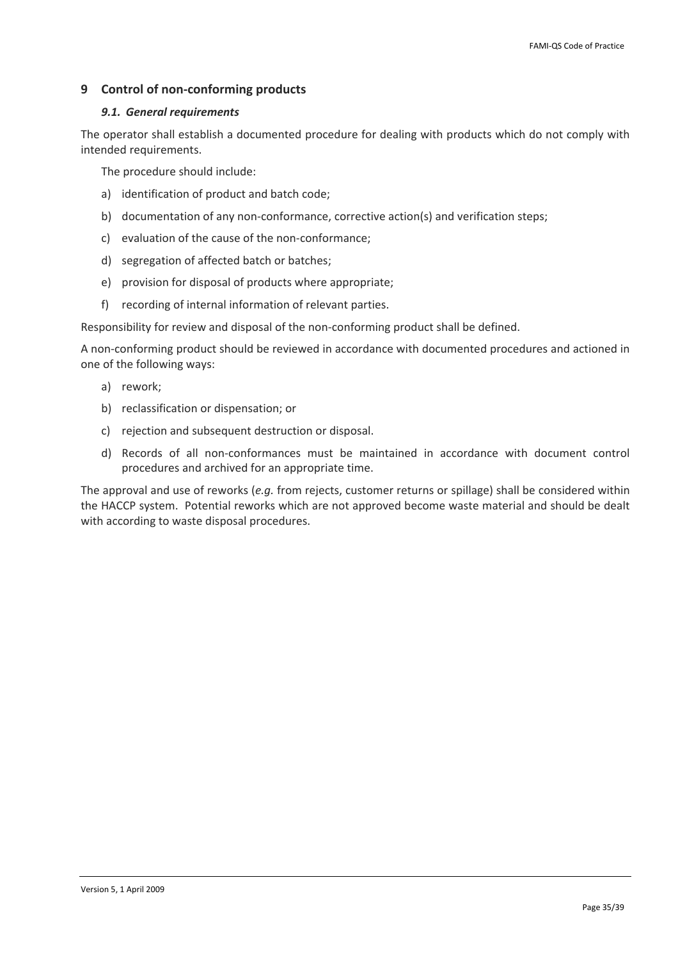## <span id="page-34-0"></span>**9 Control of non‐conforming products**

## *9.1. General requirements*

The operator shall establish a documented procedure for dealing with products which do not comply with intended requirements.

The procedure should include:

- a) identification of product and batch code;
- b) documentation of any non-conformance, corrective action(s) and verification steps;
- c) evaluation of the cause of the non‐conformance;
- d) segregation of affected batch or batches;
- e) provision for disposal of products where appropriate;
- f) recording of internal information of relevant parties.

Responsibility for review and disposal of the non‐conforming product shall be defined.

A non‐conforming product should be reviewed in accordance with documented procedures and actioned in one of the following ways:

- a) rework;
- b) reclassification or dispensation; or
- c) rejection and subsequent destruction or disposal.
- d) Records of all non‐conformances must be maintained in accordance with document control procedures and archived for an appropriate time.

The approval and use of reworks (*e.g.* from rejects, customer returns or spillage) shall be considered within the HACCP system. Potential reworks which are not approved become waste material and should be dealt with according to waste disposal procedures.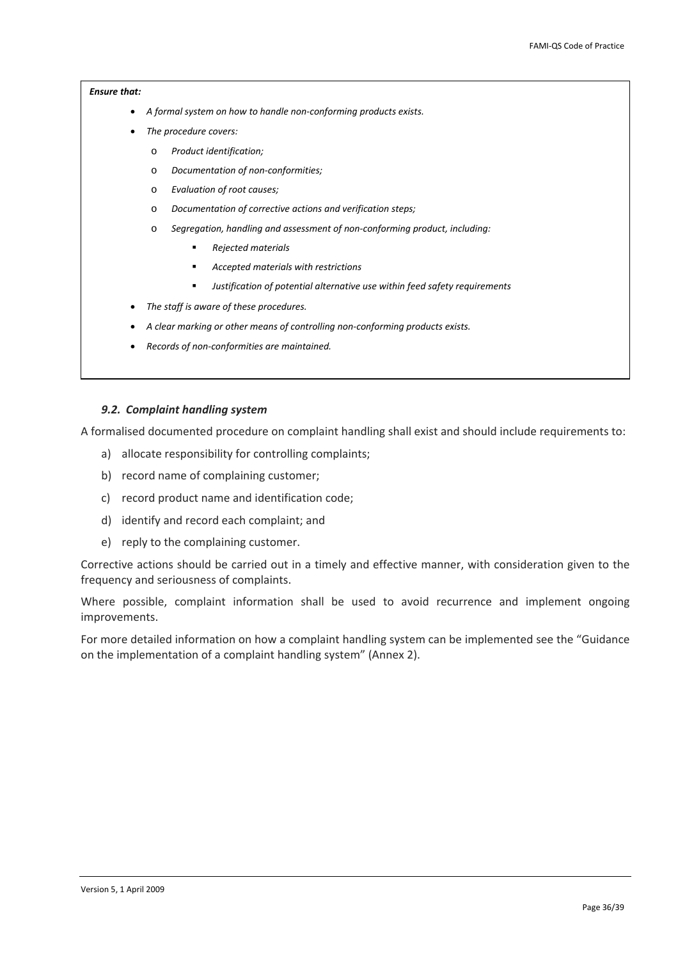- <span id="page-35-0"></span>• *A formal system on how to handle non‐conforming products exists.*
- *The procedure covers:*
	- o *Product identification;*
	- o *Documentation of non‐conformities;*
	- o *Evaluation of root causes;*
	- o *Documentation of corrective actions and verification steps;*
	- o *Segregation, handling and assessment of non‐conforming product, including:*
		- *Rejected materials*
		- *Accepted materials with restrictions*
		- *Justification of potential alternative use within feed safety requirements*
- *The staff is aware of these procedures.*
- *A clear marking or other means of controlling non‐conforming products exists.*
- *Records of non‐conformities are maintained.*

### *9.2. Complaint handling system*

A formalised documented procedure on complaint handling shall exist and should include requirements to:

- a) allocate responsibility for controlling complaints;
- b) record name of complaining customer;
- c) record product name and identification code;
- d) identify and record each complaint; and
- e) reply to the complaining customer.

Corrective actions should be carried out in a timely and effective manner, with consideration given to the frequency and seriousness of complaints.

Where possible, complaint information shall be used to avoid recurrence and implement ongoing improvements.

For more detailed information on how a complaint handling system can be implemented see the "Guidance on the implementation of a complaint handling system" (Annex 2).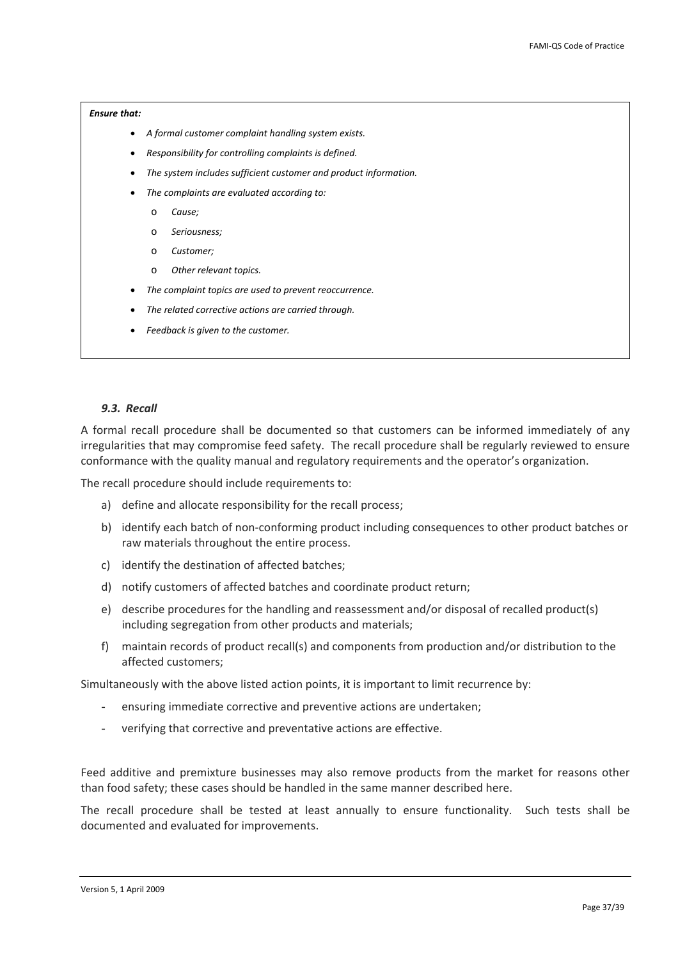- <span id="page-36-0"></span>• *A formal customer complaint handling system exists.*
- *Responsibility for controlling complaints is defined.*
- *The system includes sufficient customer and product information.*
- *The complaints are evaluated according to:*
	- o *Cause;*
	- o *Seriousness;*
	- o *Customer;*
	- o *Other relevant topics.*
- *The complaint topics are used to prevent reoccurrence.*
- *The related corrective actions are carried through.*
- *Feedback is given to the customer.*

### *9.3. Recall*

A formal recall procedure shall be documented so that customers can be informed immediately of any irregularities that may compromise feed safety. The recall procedure shall be regularly reviewed to ensure conformance with the quality manual and regulatory requirements and the operator's organization.

The recall procedure should include requirements to:

- a) define and allocate responsibility for the recall process;
- b) identify each batch of non-conforming product including consequences to other product batches or raw materials throughout the entire process.
- c) identify the destination of affected batches;
- d) notify customers of affected batches and coordinate product return;
- e) describe procedures for the handling and reassessment and/or disposal of recalled product(s) including segregation from other products and materials;
- f) maintain records of product recall(s) and components from production and/or distribution to the affected customers;

Simultaneously with the above listed action points, it is important to limit recurrence by:

- ensuring immediate corrective and preventive actions are undertaken;
- verifying that corrective and preventative actions are effective.

Feed additive and premixture businesses may also remove products from the market for reasons other than food safety; these cases should be handled in the same manner described here.

The recall procedure shall be tested at least annually to ensure functionality. Such tests shall be documented and evaluated for improvements.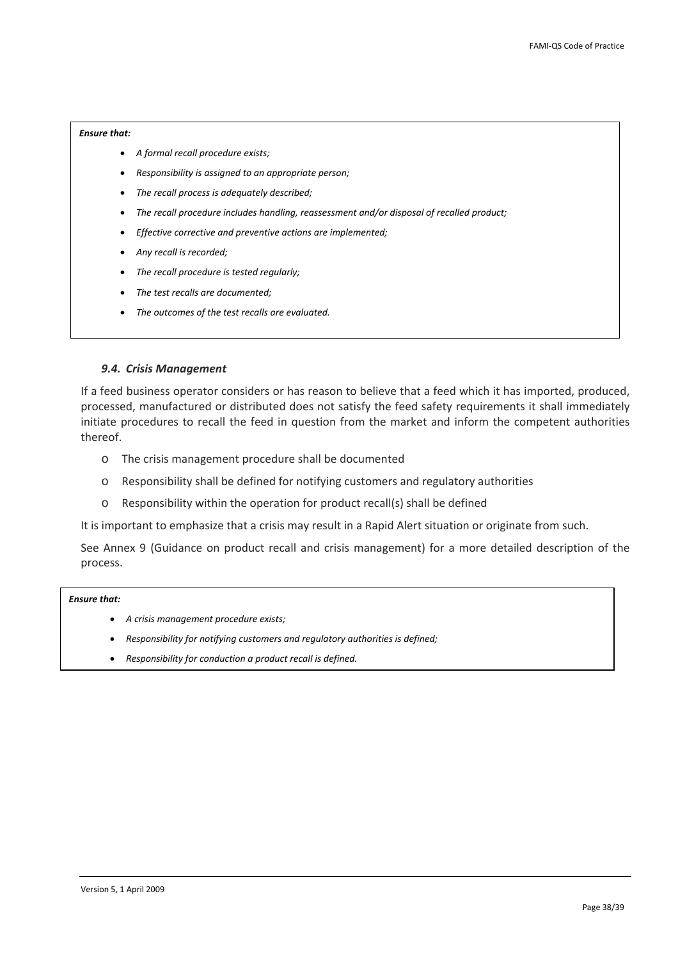- <span id="page-37-0"></span>• *A formal recall procedure exists;*
- *Responsibility is assigned to an appropriate person;*
- *The recall process is adequately described;*
- *The recall procedure includes handling, reassessment and/or disposal of recalled product;*
- *Effective corrective and preventive actions are implemented;*
- *Any recall is recorded;*
- *The recall procedure is tested regularly;*
- *The test recalls are documented;*
- *The outcomes of the test recalls are evaluated.*

## *9.4. Crisis Management*

If a feed business operator considers or has reason to believe that a feed which it has imported, produced, processed, manufactured or distributed does not satisfy the feed safety requirements it shall immediately initiate procedures to recall the feed in question from the market and inform the competent authorities thereof.

- o The crisis management procedure shall be documented
- o Responsibility shall be defined for notifying customers and regulatory authorities
- o Responsibility within the operation for product recall(s) shall be defined

It is important to emphasize that a crisis may result in a Rapid Alert situation or originate from such.

See Annex 9 (Guidance on product recall and crisis management) for a more detailed description of the process.

- *A crisis management procedure exists;*
- *Responsibility for notifying customers and regulatory authorities is defined;*
- *Responsibility for conduction a product recall is defined.*